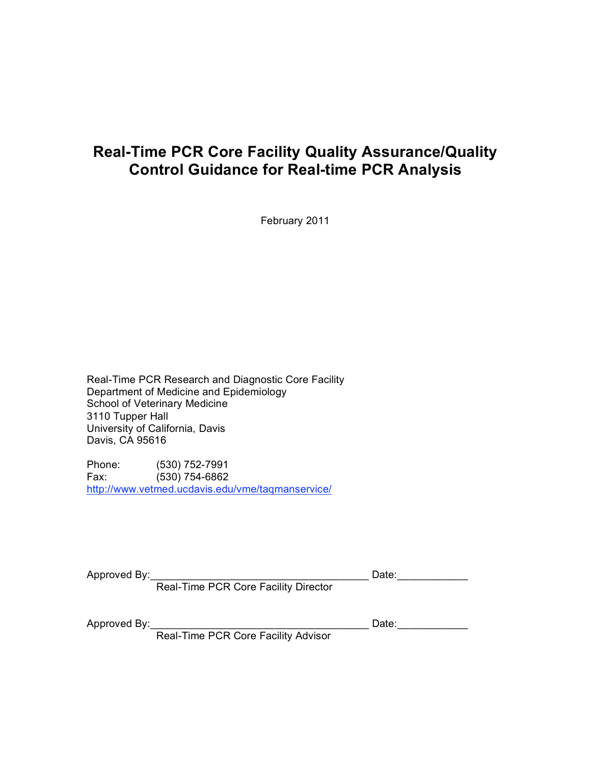# **Real-Time PCR Core Facility Quality Assurance/Quality Control Guidance for Real-time PCR Analysis**

February 2011

Real-Time PCR Research and Diagnostic Core Facility Department of Medicine and Epidemiology School of Veterinary Medicine 3110 Tupper Hall University of California, Davis Davis, CA 95616

Phone: (530) 752-7991 Fax: (530) 754-6862 http://www.vetmed.ucdavis.edu/vme/taqmanservice/

Approved By:\_\_\_\_\_\_\_\_\_\_\_\_\_\_\_\_\_\_\_\_\_\_\_\_\_\_\_\_\_\_\_\_\_\_\_\_\_ Date:\_\_\_\_\_\_\_\_\_\_\_\_

Real-Time PCR Core Facility Director

Approved By:\_\_\_\_\_\_\_\_\_\_\_\_\_\_\_\_\_\_\_\_\_\_\_\_\_\_\_\_\_\_\_\_\_\_\_\_\_ Date:\_\_\_\_\_\_\_\_\_\_\_\_

Real-Time PCR Core Facility Advisor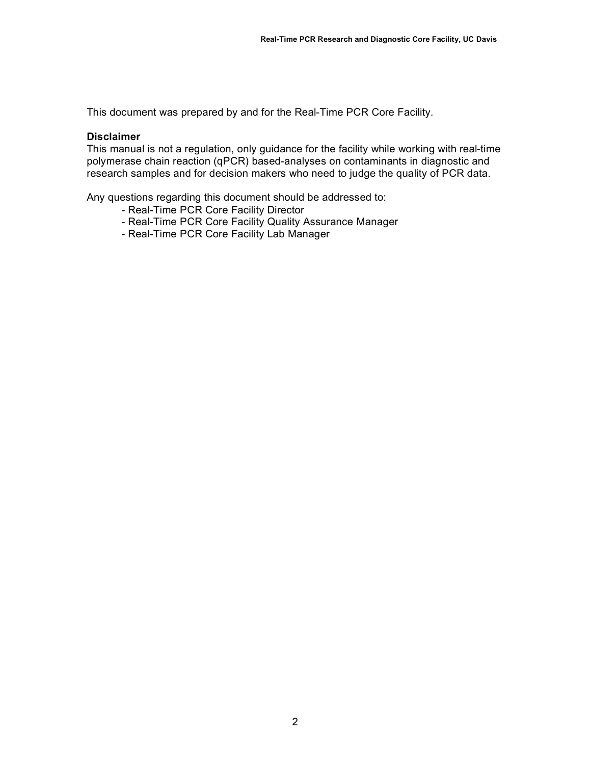This document was prepared by and for the Real-Time PCR Core Facility.

#### **Disclaimer**

This manual is not a regulation, only guidance for the facility while working with real-time polymerase chain reaction (qPCR) based-analyses on contaminants in diagnostic and research samples and for decision makers who need to judge the quality of PCR data.

Any questions regarding this document should be addressed to:

- Real-Time PCR Core Facility Director
- Real-Time PCR Core Facility Quality Assurance Manager
- Real-Time PCR Core Facility Lab Manager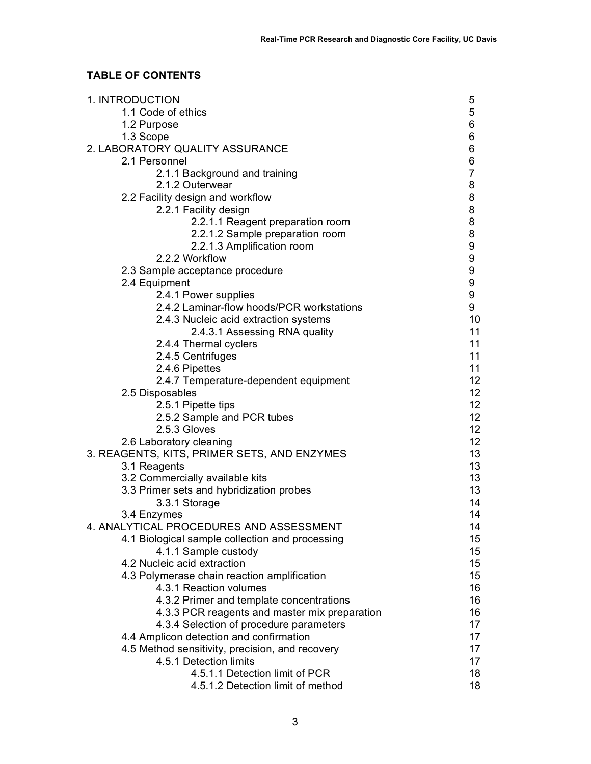# **TABLE OF CONTENTS**

| 1. INTRODUCTION                                 | 5                |
|-------------------------------------------------|------------------|
| 1.1 Code of ethics                              | 5                |
| 1.2 Purpose                                     | 6                |
| 1.3 Scope                                       | 6                |
| 2. LABORATORY QUALITY ASSURANCE                 | 6                |
| 2.1 Personnel                                   | 6                |
| 2.1.1 Background and training                   | $\overline{7}$   |
| 2.1.2 Outerwear                                 | 8                |
| 2.2 Facility design and workflow                | 8                |
| 2.2.1 Facility design                           | 8                |
| 2.2.1.1 Reagent preparation room                | 8                |
| 2.2.1.2 Sample preparation room                 | $\bf 8$          |
| 2.2.1.3 Amplification room                      | 9                |
| 2.2.2 Workflow                                  | $\boldsymbol{9}$ |
| 2.3 Sample acceptance procedure                 | 9                |
| 2.4 Equipment                                   | $\boldsymbol{9}$ |
| 2.4.1 Power supplies                            | $\boldsymbol{9}$ |
| 2.4.2 Laminar-flow hoods/PCR workstations       | 9                |
| 2.4.3 Nucleic acid extraction systems           | 10               |
| 2.4.3.1 Assessing RNA quality                   | 11               |
| 2.4.4 Thermal cyclers                           | 11               |
| 2.4.5 Centrifuges                               | 11               |
| 2.4.6 Pipettes                                  | 11               |
| 2.4.7 Temperature-dependent equipment           | 12 <sup>2</sup>  |
| 2.5 Disposables                                 | 12 <sub>2</sub>  |
| 2.5.1 Pipette tips                              | 12 <sub>2</sub>  |
| 2.5.2 Sample and PCR tubes                      | 12 <sub>2</sub>  |
| 2.5.3 Gloves                                    | 12 <sub>2</sub>  |
| 2.6 Laboratory cleaning                         | 12 <sup>°</sup>  |
| 3. REAGENTS, KITS, PRIMER SETS, AND ENZYMES     | 13               |
| 3.1 Reagents                                    | 13               |
| 3.2 Commercially available kits                 | 13               |
| 3.3 Primer sets and hybridization probes        | 13               |
| 3.3.1 Storage                                   | 14               |
| 3.4 Enzymes                                     | 14               |
| 4. ANALYTICAL PROCEDURES AND ASSESSMENT         | 14               |
| 4.1 Biological sample collection and processing | 15 <sub>1</sub>  |
| 4.1.1 Sample custody                            | 15 <sub>1</sub>  |
| 4.2 Nucleic acid extraction                     | 15               |
| 4.3 Polymerase chain reaction amplification     | 15               |
| 4.3.1 Reaction volumes                          | 16               |
| 4.3.2 Primer and template concentrations        | 16               |
| 4.3.3 PCR reagents and master mix preparation   | 16               |
| 4.3.4 Selection of procedure parameters         | 17               |
| 4.4 Amplicon detection and confirmation         | 17               |
| 4.5 Method sensitivity, precision, and recovery | 17               |
| 4.5.1 Detection limits                          | 17 <sup>2</sup>  |
| 4.5.1.1 Detection limit of PCR                  | 18               |
| 4.5.1.2 Detection limit of method               | 18               |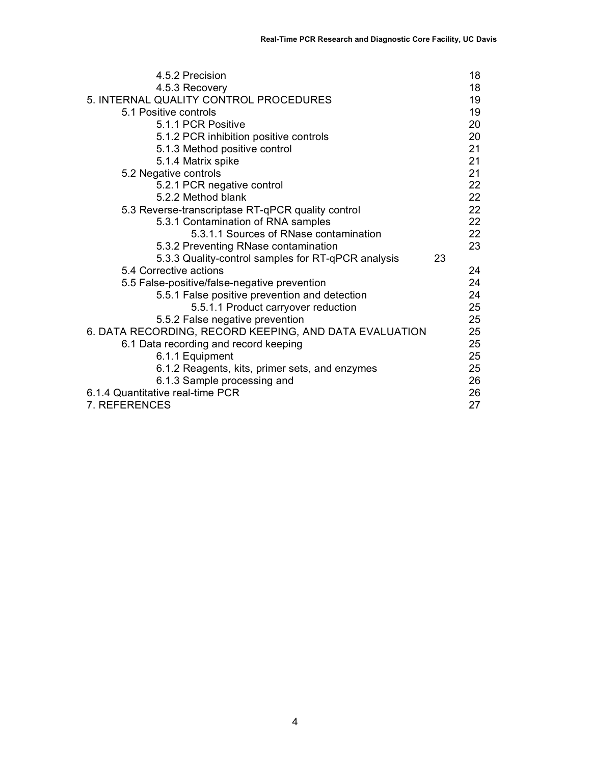| 4.5.2 Precision                                        |    | 18 |
|--------------------------------------------------------|----|----|
| 4.5.3 Recovery                                         |    | 18 |
| 5. INTERNAL QUALITY CONTROL PROCEDURES                 |    | 19 |
| 5.1 Positive controls                                  |    | 19 |
| 5.1.1 PCR Positive                                     |    | 20 |
| 5.1.2 PCR inhibition positive controls                 |    | 20 |
| 5.1.3 Method positive control                          |    | 21 |
| 5.1.4 Matrix spike                                     |    | 21 |
| 5.2 Negative controls                                  |    | 21 |
| 5.2.1 PCR negative control                             |    | 22 |
| 5.2.2 Method blank                                     |    | 22 |
| 5.3 Reverse-transcriptase RT-qPCR quality control      |    | 22 |
| 5.3.1 Contamination of RNA samples                     |    | 22 |
| 5.3.1.1 Sources of RNase contamination                 |    | 22 |
| 5.3.2 Preventing RNase contamination                   |    | 23 |
| 5.3.3 Quality-control samples for RT-qPCR analysis     | 23 |    |
| 5.4 Corrective actions                                 |    | 24 |
| 5.5 False-positive/false-negative prevention           |    | 24 |
| 5.5.1 False positive prevention and detection          |    | 24 |
| 5.5.1.1 Product carryover reduction                    |    | 25 |
| 5.5.2 False negative prevention                        |    | 25 |
| 6. DATA RECORDING, RECORD KEEPING, AND DATA EVALUATION |    | 25 |
| 6.1 Data recording and record keeping                  |    | 25 |
| 6.1.1 Equipment                                        |    | 25 |
| 6.1.2 Reagents, kits, primer sets, and enzymes         |    | 25 |
| 6.1.3 Sample processing and                            |    | 26 |
| 6.1.4 Quantitative real-time PCR                       |    | 26 |
| 7. REFERENCES                                          |    | 27 |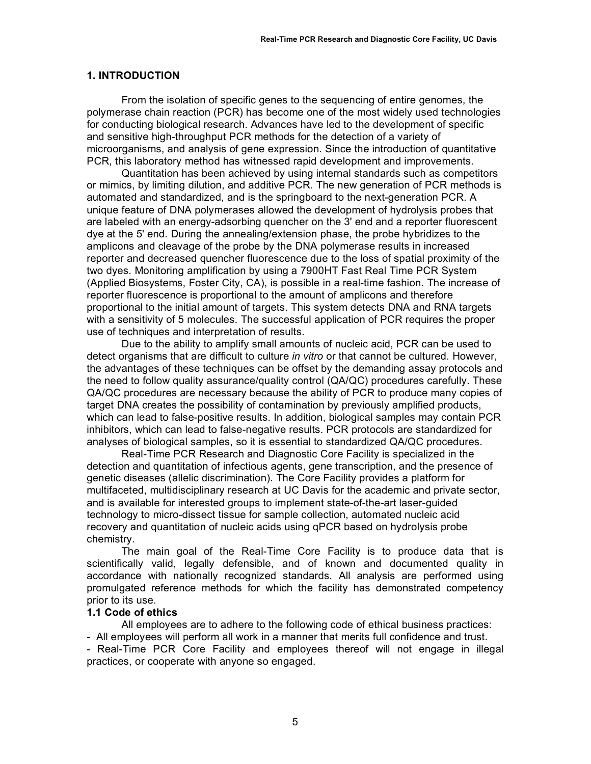#### **1. INTRODUCTION**

From the isolation of specific genes to the sequencing of entire genomes, the polymerase chain reaction (PCR) has become one of the most widely used technologies for conducting biological research. Advances have led to the development of specific and sensitive high-throughput PCR methods for the detection of a variety of microorganisms, and analysis of gene expression. Since the introduction of quantitative PCR, this laboratory method has witnessed rapid development and improvements.

Quantitation has been achieved by using internal standards such as competitors or mimics, by limiting dilution, and additive PCR. The new generation of PCR methods is automated and standardized, and is the springboard to the next-generation PCR. A unique feature of DNA polymerases allowed the development of hydrolysis probes that are labeled with an energy-adsorbing quencher on the 3' end and a reporter fluorescent dye at the 5' end. During the annealing/extension phase, the probe hybridizes to the amplicons and cleavage of the probe by the DNA polymerase results in increased reporter and decreased quencher fluorescence due to the loss of spatial proximity of the two dyes. Monitoring amplification by using a 7900HT Fast Real Time PCR System (Applied Biosystems, Foster City, CA), is possible in a real-time fashion. The increase of reporter fluorescence is proportional to the amount of amplicons and therefore proportional to the initial amount of targets. This system detects DNA and RNA targets with a sensitivity of 5 molecules. The successful application of PCR requires the proper use of techniques and interpretation of results.

Due to the ability to amplify small amounts of nucleic acid, PCR can be used to detect organisms that are difficult to culture *in vitro* or that cannot be cultured. However, the advantages of these techniques can be offset by the demanding assay protocols and the need to follow quality assurance/quality control (QA/QC) procedures carefully. These QA/QC procedures are necessary because the ability of PCR to produce many copies of target DNA creates the possibility of contamination by previously amplified products, which can lead to false-positive results. In addition, biological samples may contain PCR inhibitors, which can lead to false-negative results. PCR protocols are standardized for analyses of biological samples, so it is essential to standardized QA/QC procedures.

Real-Time PCR Research and Diagnostic Core Facility is specialized in the detection and quantitation of infectious agents, gene transcription, and the presence of genetic diseases (allelic discrimination). The Core Facility provides a platform for multifaceted, multidisciplinary research at UC Davis for the academic and private sector, and is available for interested groups to implement state-of-the-art laser-guided technology to micro-dissect tissue for sample collection, automated nucleic acid recovery and quantitation of nucleic acids using qPCR based on hydrolysis probe chemistry.

The main goal of the Real-Time Core Facility is to produce data that is scientifically valid, legally defensible, and of known and documented quality in accordance with nationally recognized standards. All analysis are performed using promulgated reference methods for which the facility has demonstrated competency prior to its use.

#### **1.1 Code of ethics**

All employees are to adhere to the following code of ethical business practices:

- All employees will perform all work in a manner that merits full confidence and trust.

- Real-Time PCR Core Facility and employees thereof will not engage in illegal practices, or cooperate with anyone so engaged.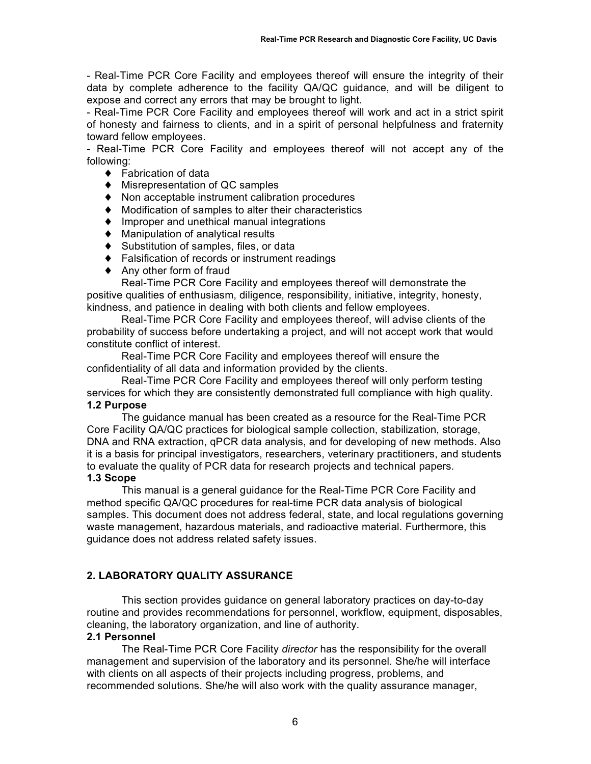- Real-Time PCR Core Facility and employees thereof will ensure the integrity of their data by complete adherence to the facility QA/QC guidance, and will be diligent to expose and correct any errors that may be brought to light.

- Real-Time PCR Core Facility and employees thereof will work and act in a strict spirit of honesty and fairness to clients, and in a spirit of personal helpfulness and fraternity toward fellow employees.

- Real-Time PCR Core Facility and employees thereof will not accept any of the following:

- ♦ Fabrication of data
- ♦ Misrepresentation of QC samples
- ♦ Non acceptable instrument calibration procedures
- ♦ Modification of samples to alter their characteristics
- ♦ Improper and unethical manual integrations
- ♦ Manipulation of analytical results
- ♦ Substitution of samples, files, or data
- ♦ Falsification of records or instrument readings
- ♦ Any other form of fraud

Real-Time PCR Core Facility and employees thereof will demonstrate the positive qualities of enthusiasm, diligence, responsibility, initiative, integrity, honesty, kindness, and patience in dealing with both clients and fellow employees.

Real-Time PCR Core Facility and employees thereof, will advise clients of the probability of success before undertaking a project, and will not accept work that would constitute conflict of interest.

Real-Time PCR Core Facility and employees thereof will ensure the confidentiality of all data and information provided by the clients.

Real-Time PCR Core Facility and employees thereof will only perform testing services for which they are consistently demonstrated full compliance with high quality. **1.2 Purpose**

The guidance manual has been created as a resource for the Real-Time PCR Core Facility QA/QC practices for biological sample collection, stabilization, storage, DNA and RNA extraction, qPCR data analysis, and for developing of new methods. Also it is a basis for principal investigators, researchers, veterinary practitioners, and students to evaluate the quality of PCR data for research projects and technical papers.

# **1.3 Scope**

This manual is a general guidance for the Real-Time PCR Core Facility and method specific QA/QC procedures for real-time PCR data analysis of biological samples. This document does not address federal, state, and local regulations governing waste management, hazardous materials, and radioactive material. Furthermore, this guidance does not address related safety issues.

# **2. LABORATORY QUALITY ASSURANCE**

This section provides guidance on general laboratory practices on day-to-day routine and provides recommendations for personnel, workflow, equipment, disposables, cleaning, the laboratory organization, and line of authority.

### **2.1 Personnel**

The Real-Time PCR Core Facility *director* has the responsibility for the overall management and supervision of the laboratory and its personnel. She/he will interface with clients on all aspects of their projects including progress, problems, and recommended solutions. She/he will also work with the quality assurance manager,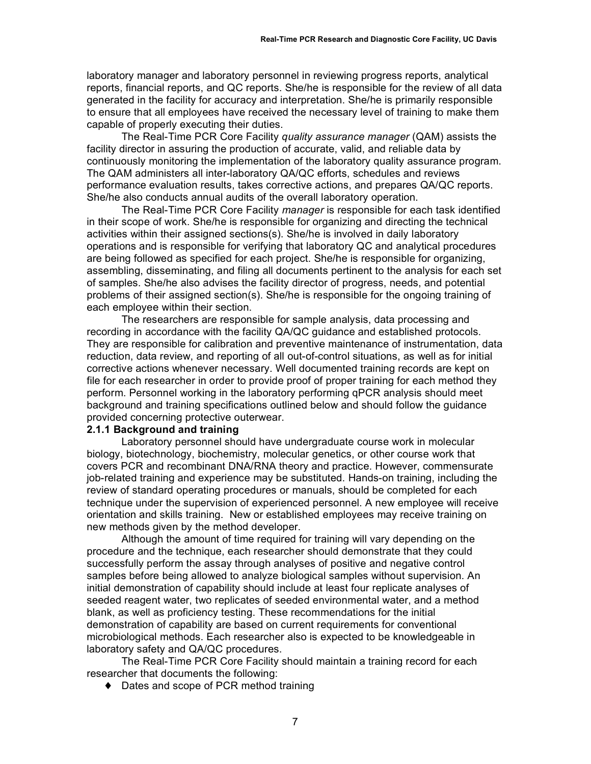laboratory manager and laboratory personnel in reviewing progress reports, analytical reports, financial reports, and QC reports. She/he is responsible for the review of all data generated in the facility for accuracy and interpretation. She/he is primarily responsible to ensure that all employees have received the necessary level of training to make them capable of properly executing their duties.

The Real-Time PCR Core Facility *quality assurance manager* (QAM) assists the facility director in assuring the production of accurate, valid, and reliable data by continuously monitoring the implementation of the laboratory quality assurance program. The QAM administers all inter-laboratory QA/QC efforts, schedules and reviews performance evaluation results, takes corrective actions, and prepares QA/QC reports. She/he also conducts annual audits of the overall laboratory operation.

The Real-Time PCR Core Facility *manager* is responsible for each task identified in their scope of work. She/he is responsible for organizing and directing the technical activities within their assigned sections(s). She/he is involved in daily laboratory operations and is responsible for verifying that laboratory QC and analytical procedures are being followed as specified for each project. She/he is responsible for organizing, assembling, disseminating, and filing all documents pertinent to the analysis for each set of samples. She/he also advises the facility director of progress, needs, and potential problems of their assigned section(s). She/he is responsible for the ongoing training of each employee within their section.

The researchers are responsible for sample analysis, data processing and recording in accordance with the facility QA/QC guidance and established protocols. They are responsible for calibration and preventive maintenance of instrumentation, data reduction, data review, and reporting of all out-of-control situations, as well as for initial corrective actions whenever necessary. Well documented training records are kept on file for each researcher in order to provide proof of proper training for each method they perform. Personnel working in the laboratory performing qPCR analysis should meet background and training specifications outlined below and should follow the guidance provided concerning protective outerwear.

#### **2.1.1 Background and training**

Laboratory personnel should have undergraduate course work in molecular biology, biotechnology, biochemistry, molecular genetics, or other course work that covers PCR and recombinant DNA/RNA theory and practice. However, commensurate job-related training and experience may be substituted. Hands-on training, including the review of standard operating procedures or manuals, should be completed for each technique under the supervision of experienced personnel. A new employee will receive orientation and skills training. New or established employees may receive training on new methods given by the method developer.

Although the amount of time required for training will vary depending on the procedure and the technique, each researcher should demonstrate that they could successfully perform the assay through analyses of positive and negative control samples before being allowed to analyze biological samples without supervision. An initial demonstration of capability should include at least four replicate analyses of seeded reagent water, two replicates of seeded environmental water, and a method blank, as well as proficiency testing. These recommendations for the initial demonstration of capability are based on current requirements for conventional microbiological methods. Each researcher also is expected to be knowledgeable in laboratory safety and QA/QC procedures.

The Real-Time PCR Core Facility should maintain a training record for each researcher that documents the following:

♦ Dates and scope of PCR method training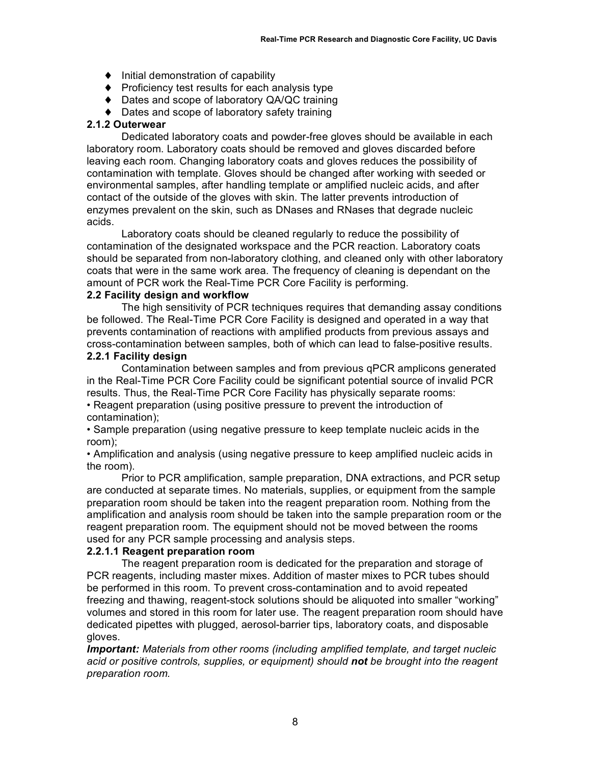- ♦ Initial demonstration of capability
- ♦ Proficiency test results for each analysis type
- ♦ Dates and scope of laboratory QA/QC training
- ♦ Dates and scope of laboratory safety training

### **2.1.2 Outerwear**

Dedicated laboratory coats and powder-free gloves should be available in each laboratory room. Laboratory coats should be removed and gloves discarded before leaving each room. Changing laboratory coats and gloves reduces the possibility of contamination with template. Gloves should be changed after working with seeded or environmental samples, after handling template or amplified nucleic acids, and after contact of the outside of the gloves with skin. The latter prevents introduction of enzymes prevalent on the skin, such as DNases and RNases that degrade nucleic acids.

Laboratory coats should be cleaned regularly to reduce the possibility of contamination of the designated workspace and the PCR reaction. Laboratory coats should be separated from non-laboratory clothing, and cleaned only with other laboratory coats that were in the same work area. The frequency of cleaning is dependant on the amount of PCR work the Real-Time PCR Core Facility is performing.

### **2.2 Facility design and workflow**

The high sensitivity of PCR techniques requires that demanding assay conditions be followed. The Real-Time PCR Core Facility is designed and operated in a way that prevents contamination of reactions with amplified products from previous assays and cross-contamination between samples, both of which can lead to false-positive results.

#### **2.2.1 Facility design**

Contamination between samples and from previous qPCR amplicons generated in the Real-Time PCR Core Facility could be significant potential source of invalid PCR results. Thus, the Real-Time PCR Core Facility has physically separate rooms:

• Reagent preparation (using positive pressure to prevent the introduction of contamination);

• Sample preparation (using negative pressure to keep template nucleic acids in the room);

• Amplification and analysis (using negative pressure to keep amplified nucleic acids in the room).

Prior to PCR amplification, sample preparation, DNA extractions, and PCR setup are conducted at separate times. No materials, supplies, or equipment from the sample preparation room should be taken into the reagent preparation room. Nothing from the amplification and analysis room should be taken into the sample preparation room or the reagent preparation room. The equipment should not be moved between the rooms used for any PCR sample processing and analysis steps.

#### **2.2.1.1 Reagent preparation room**

The reagent preparation room is dedicated for the preparation and storage of PCR reagents, including master mixes. Addition of master mixes to PCR tubes should be performed in this room. To prevent cross-contamination and to avoid repeated freezing and thawing, reagent-stock solutions should be aliquoted into smaller "working" volumes and stored in this room for later use. The reagent preparation room should have dedicated pipettes with plugged, aerosol-barrier tips, laboratory coats, and disposable gloves.

*Important: Materials from other rooms (including amplified template, and target nucleic acid or positive controls, supplies, or equipment) should not be brought into the reagent preparation room.*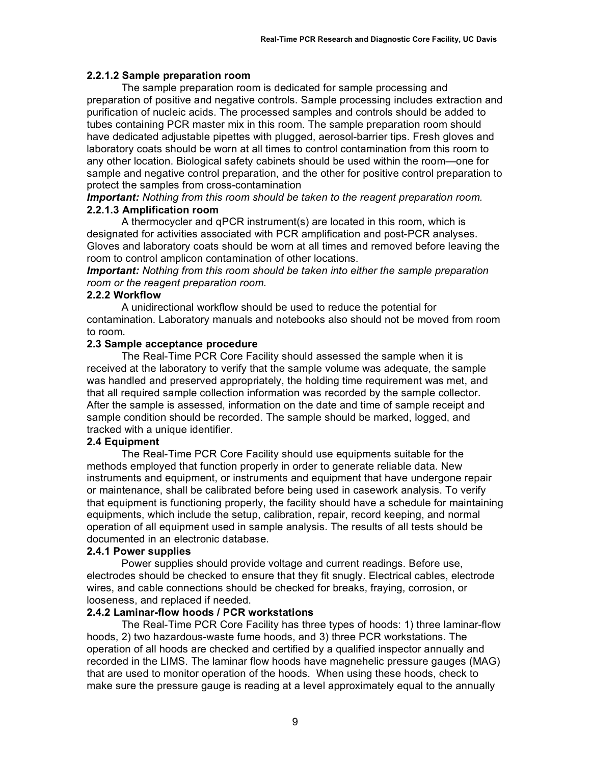### **2.2.1.2 Sample preparation room**

The sample preparation room is dedicated for sample processing and preparation of positive and negative controls. Sample processing includes extraction and purification of nucleic acids. The processed samples and controls should be added to tubes containing PCR master mix in this room. The sample preparation room should have dedicated adjustable pipettes with plugged, aerosol-barrier tips. Fresh gloves and laboratory coats should be worn at all times to control contamination from this room to any other location. Biological safety cabinets should be used within the room—one for sample and negative control preparation, and the other for positive control preparation to protect the samples from cross-contamination

*Important: Nothing from this room should be taken to the reagent preparation room.* **2.2.1.3 Amplification room**

A thermocycler and qPCR instrument(s) are located in this room, which is designated for activities associated with PCR amplification and post-PCR analyses. Gloves and laboratory coats should be worn at all times and removed before leaving the room to control amplicon contamination of other locations.

*Important: Nothing from this room should be taken into either the sample preparation room or the reagent preparation room.*

#### **2.2.2 Workflow**

A unidirectional workflow should be used to reduce the potential for contamination. Laboratory manuals and notebooks also should not be moved from room to room.

#### **2.3 Sample acceptance procedure**

The Real-Time PCR Core Facility should assessed the sample when it is received at the laboratory to verify that the sample volume was adequate, the sample was handled and preserved appropriately, the holding time requirement was met, and that all required sample collection information was recorded by the sample collector. After the sample is assessed, information on the date and time of sample receipt and sample condition should be recorded. The sample should be marked, logged, and tracked with a unique identifier.

### **2.4 Equipment**

The Real-Time PCR Core Facility should use equipments suitable for the methods employed that function properly in order to generate reliable data. New instruments and equipment, or instruments and equipment that have undergone repair or maintenance, shall be calibrated before being used in casework analysis. To verify that equipment is functioning properly, the facility should have a schedule for maintaining equipments, which include the setup, calibration, repair, record keeping, and normal operation of all equipment used in sample analysis. The results of all tests should be documented in an electronic database.

### **2.4.1 Power supplies**

Power supplies should provide voltage and current readings. Before use, electrodes should be checked to ensure that they fit snugly. Electrical cables, electrode wires, and cable connections should be checked for breaks, fraying, corrosion, or looseness, and replaced if needed.

### **2.4.2 Laminar-flow hoods / PCR workstations**

The Real-Time PCR Core Facility has three types of hoods: 1) three laminar-flow hoods, 2) two hazardous-waste fume hoods, and 3) three PCR workstations. The operation of all hoods are checked and certified by a qualified inspector annually and recorded in the LIMS. The laminar flow hoods have magnehelic pressure gauges (MAG) that are used to monitor operation of the hoods. When using these hoods, check to make sure the pressure gauge is reading at a level approximately equal to the annually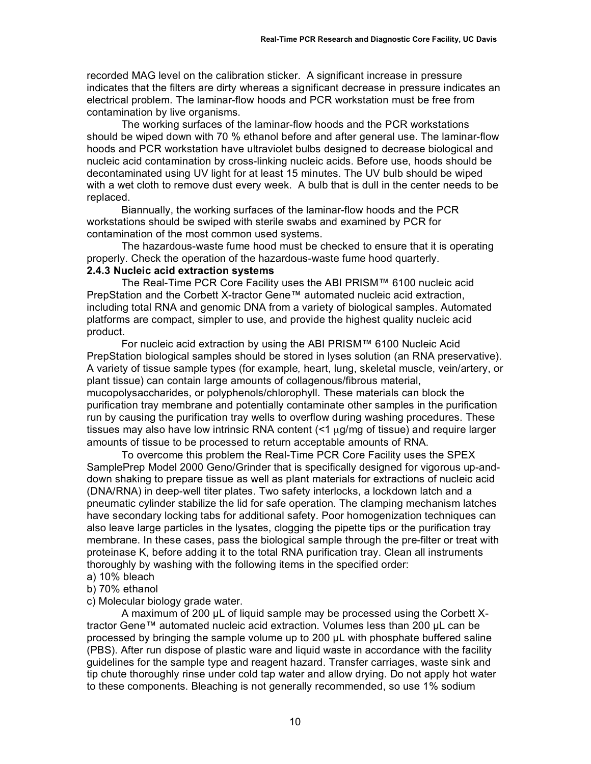recorded MAG level on the calibration sticker. A significant increase in pressure indicates that the filters are dirty whereas a significant decrease in pressure indicates an electrical problem. The laminar-flow hoods and PCR workstation must be free from contamination by live organisms.

The working surfaces of the laminar-flow hoods and the PCR workstations should be wiped down with 70 % ethanol before and after general use. The laminar-flow hoods and PCR workstation have ultraviolet bulbs designed to decrease biological and nucleic acid contamination by cross-linking nucleic acids. Before use, hoods should be decontaminated using UV light for at least 15 minutes. The UV bulb should be wiped with a wet cloth to remove dust every week. A bulb that is dull in the center needs to be replaced.

Biannually, the working surfaces of the laminar-flow hoods and the PCR workstations should be swiped with sterile swabs and examined by PCR for contamination of the most common used systems.

The hazardous-waste fume hood must be checked to ensure that it is operating properly. Check the operation of the hazardous-waste fume hood quarterly. **2.4.3 Nucleic acid extraction systems**

The Real-Time PCR Core Facility uses the ABI PRISM™ 6100 nucleic acid PrepStation and the Corbett X-tractor Gene™ automated nucleic acid extraction, including total RNA and genomic DNA from a variety of biological samples. Automated platforms are compact, simpler to use, and provide the highest quality nucleic acid product.

For nucleic acid extraction by using the ABI PRISM™ 6100 Nucleic Acid PrepStation biological samples should be stored in lyses solution (an RNA preservative). A variety of tissue sample types (for example*,* heart, lung, skeletal muscle, vein/artery, or plant tissue) can contain large amounts of collagenous/fibrous material, mucopolysaccharides, or polyphenols/chlorophyll. These materials can block the purification tray membrane and potentially contaminate other samples in the purification run by causing the purification tray wells to overflow during washing procedures. These tissues may also have low intrinsic RNA content  $(1 \text{ g/mg})$  of tissue) and require larger amounts of tissue to be processed to return acceptable amounts of RNA.

To overcome this problem the Real-Time PCR Core Facility uses the SPEX SamplePrep Model 2000 Geno/Grinder that is specifically designed for vigorous up-anddown shaking to prepare tissue as well as plant materials for extractions of nucleic acid (DNA/RNA) in deep-well titer plates. Two safety interlocks, a lockdown latch and a pneumatic cylinder stabilize the lid for safe operation. The clamping mechanism latches have secondary locking tabs for additional safety. Poor homogenization techniques can also leave large particles in the lysates, clogging the pipette tips or the purification tray membrane. In these cases, pass the biological sample through the pre-filter or treat with proteinase K, before adding it to the total RNA purification tray. Clean all instruments thoroughly by washing with the following items in the specified order:

- a) 10% bleach
- b) 70% ethanol
- c) Molecular biology grade water.

A maximum of 200 µL of liquid sample may be processed using the Corbett Xtractor Gene™ automated nucleic acid extraction. Volumes less than 200 µL can be processed by bringing the sample volume up to 200 µL with phosphate buffered saline (PBS). After run dispose of plastic ware and liquid waste in accordance with the facility guidelines for the sample type and reagent hazard. Transfer carriages, waste sink and tip chute thoroughly rinse under cold tap water and allow drying. Do not apply hot water to these components. Bleaching is not generally recommended, so use 1% sodium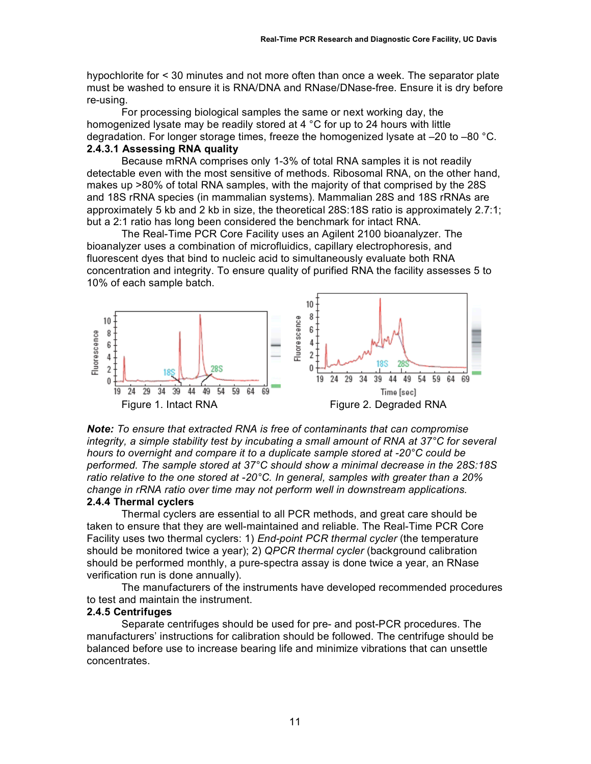hypochlorite for < 30 minutes and not more often than once a week. The separator plate must be washed to ensure it is RNA/DNA and RNase/DNase-free. Ensure it is dry before re-using.

For processing biological samples the same or next working day, the homogenized lysate may be readily stored at 4  $\degree$ C for up to 24 hours with little degradation. For longer storage times, freeze the homogenized lysate at  $-20$  to  $-80$  °C.

### **2.4.3.1 Assessing RNA quality**

Because mRNA comprises only 1-3% of total RNA samples it is not readily detectable even with the most sensitive of methods. Ribosomal RNA, on the other hand, makes up >80% of total RNA samples, with the majority of that comprised by the 28S and 18S rRNA species (in mammalian systems). Mammalian 28S and 18S rRNAs are approximately 5 kb and 2 kb in size, the theoretical 28S:18S ratio is approximately 2.7:1; but a 2:1 ratio has long been considered the benchmark for intact RNA.

The Real-Time PCR Core Facility uses an Agilent 2100 bioanalyzer. The bioanalyzer uses a combination of microfluidics, capillary electrophoresis, and fluorescent dyes that bind to nucleic acid to simultaneously evaluate both RNA concentration and integrity. To ensure quality of purified RNA the facility assesses 5 to 10% of each sample batch.



*Note: To ensure that extracted RNA is free of contaminants that can compromise integrity, a simple stability test by incubating a small amount of RNA at 37°C for several hours to overnight and compare it to a duplicate sample stored at -20°C could be performed. The sample stored at 37°C should show a minimal decrease in the 28S:18S ratio relative to the one stored at -20°C. In general, samples with greater than a 20% change in rRNA ratio over time may not perform well in downstream applications.*

#### **2.4.4 Thermal cyclers**

Thermal cyclers are essential to all PCR methods, and great care should be taken to ensure that they are well-maintained and reliable. The Real-Time PCR Core Facility uses two thermal cyclers: 1) *End-point PCR thermal cycler* (the temperature should be monitored twice a year); 2) *QPCR thermal cycler* (background calibration should be performed monthly, a pure-spectra assay is done twice a year, an RNase verification run is done annually).

The manufacturers of the instruments have developed recommended procedures to test and maintain the instrument.

#### **2.4.5 Centrifuges**

Separate centrifuges should be used for pre- and post-PCR procedures. The manufacturers' instructions for calibration should be followed. The centrifuge should be balanced before use to increase bearing life and minimize vibrations that can unsettle concentrates.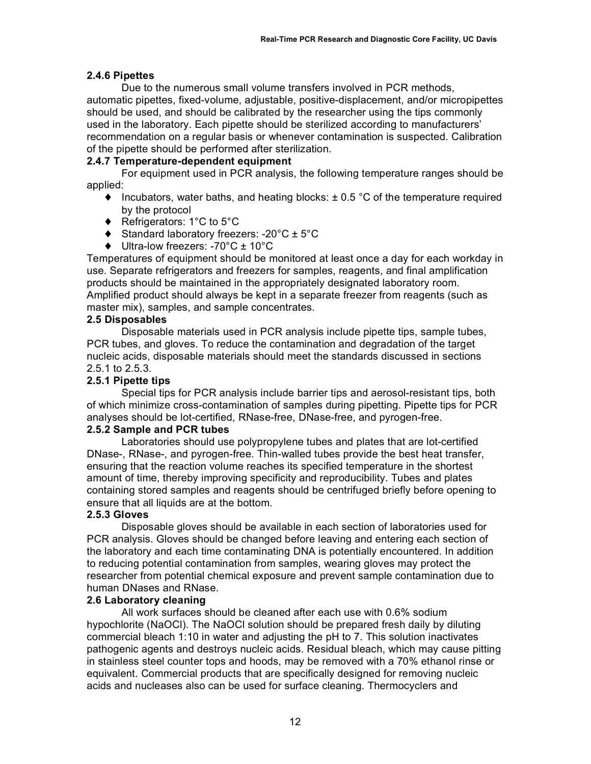### **2.4.6 Pipettes**

Due to the numerous small volume transfers involved in PCR methods, automatic pipettes, fixed-volume, adjustable, positive-displacement, and/or micropipettes should be used, and should be calibrated by the researcher using the tips commonly used in the laboratory. Each pipette should be sterilized according to manufacturers' recommendation on a regular basis or whenever contamination is suspected. Calibration of the pipette should be performed after sterilization.

### **2.4.7 Temperature-dependent equipment**

For equipment used in PCR analysis, the following temperature ranges should be applied:

- $\blacklozenge$  Incubators, water baths, and heating blocks:  $\pm$  0.5 °C of the temperature required by the protocol
- ♦ Refrigerators: 1°C to 5°C
- ♦ Standard laboratory freezers: -20°C ± 5°C
- ♦ Ultra-low freezers: -70°C ± 10°C

Temperatures of equipment should be monitored at least once a day for each workday in use. Separate refrigerators and freezers for samples, reagents, and final amplification products should be maintained in the appropriately designated laboratory room. Amplified product should always be kept in a separate freezer from reagents (such as master mix), samples, and sample concentrates.

### **2.5 Disposables**

Disposable materials used in PCR analysis include pipette tips, sample tubes, PCR tubes, and gloves. To reduce the contamination and degradation of the target nucleic acids, disposable materials should meet the standards discussed in sections 2.5.1 to 2.5.3.

### **2.5.1 Pipette tips**

Special tips for PCR analysis include barrier tips and aerosol-resistant tips, both of which minimize cross-contamination of samples during pipetting. Pipette tips for PCR analyses should be lot-certified, RNase-free, DNase-free, and pyrogen-free.

### **2.5.2 Sample and PCR tubes**

Laboratories should use polypropylene tubes and plates that are lot-certified DNase-, RNase-, and pyrogen-free. Thin-walled tubes provide the best heat transfer, ensuring that the reaction volume reaches its specified temperature in the shortest amount of time, thereby improving specificity and reproducibility. Tubes and plates containing stored samples and reagents should be centrifuged briefly before opening to ensure that all liquids are at the bottom.

### **2.5.3 Gloves**

Disposable gloves should be available in each section of laboratories used for PCR analysis. Gloves should be changed before leaving and entering each section of the laboratory and each time contaminating DNA is potentially encountered. In addition to reducing potential contamination from samples, wearing gloves may protect the researcher from potential chemical exposure and prevent sample contamination due to human DNases and RNase.

#### **2.6 Laboratory cleaning**

All work surfaces should be cleaned after each use with 0.6% sodium hypochlorite (NaOCl). The NaOCl solution should be prepared fresh daily by diluting commercial bleach 1:10 in water and adjusting the pH to 7. This solution inactivates pathogenic agents and destroys nucleic acids. Residual bleach, which may cause pitting in stainless steel counter tops and hoods, may be removed with a 70% ethanol rinse or equivalent. Commercial products that are specifically designed for removing nucleic acids and nucleases also can be used for surface cleaning. Thermocyclers and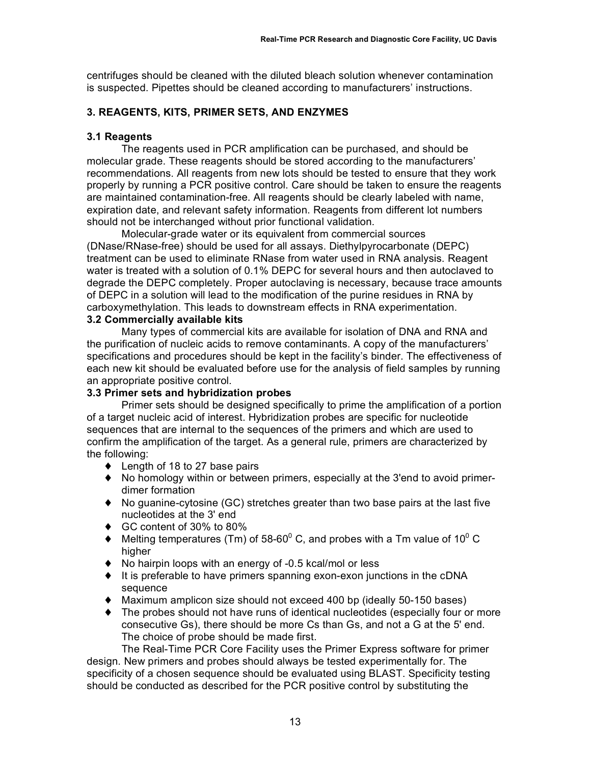centrifuges should be cleaned with the diluted bleach solution whenever contamination is suspected. Pipettes should be cleaned according to manufacturers' instructions.

### **3. REAGENTS, KITS, PRIMER SETS, AND ENZYMES**

### **3.1 Reagents**

The reagents used in PCR amplification can be purchased, and should be molecular grade. These reagents should be stored according to the manufacturers' recommendations. All reagents from new lots should be tested to ensure that they work properly by running a PCR positive control. Care should be taken to ensure the reagents are maintained contamination-free. All reagents should be clearly labeled with name, expiration date, and relevant safety information. Reagents from different lot numbers should not be interchanged without prior functional validation.

Molecular-grade water or its equivalent from commercial sources (DNase/RNase-free) should be used for all assays. Diethylpyrocarbonate (DEPC) treatment can be used to eliminate RNase from water used in RNA analysis. Reagent water is treated with a solution of 0.1% DEPC for several hours and then autoclaved to degrade the DEPC completely. Proper autoclaving is necessary, because trace amounts of DEPC in a solution will lead to the modification of the purine residues in RNA by carboxymethylation. This leads to downstream effects in RNA experimentation. **3.2 Commercially available kits**

Many types of commercial kits are available for isolation of DNA and RNA and the purification of nucleic acids to remove contaminants. A copy of the manufacturers' specifications and procedures should be kept in the facility's binder. The effectiveness of each new kit should be evaluated before use for the analysis of field samples by running an appropriate positive control.

### **3.3 Primer sets and hybridization probes**

Primer sets should be designed specifically to prime the amplification of a portion of a target nucleic acid of interest. Hybridization probes are specific for nucleotide sequences that are internal to the sequences of the primers and which are used to confirm the amplification of the target. As a general rule, primers are characterized by the following:

- ◆ Length of 18 to 27 base pairs
- ♦ No homology within or between primers, especially at the 3'end to avoid primerdimer formation
- ♦ No guanine-cytosine (GC) stretches greater than two base pairs at the last five nucleotides at the 3' end
- ♦ GC content of 30% to 80%
- $\blacklozenge$  Melting temperatures (Tm) of 58-60<sup>0</sup> C, and probes with a Tm value of 10<sup>0</sup> C higher
- ♦ No hairpin loops with an energy of -0.5 kcal/mol or less
- ♦ It is preferable to have primers spanning exon-exon junctions in the cDNA sequence
- ♦ Maximum amplicon size should not exceed 400 bp (ideally 50-150 bases)
- ♦ The probes should not have runs of identical nucleotides (especially four or more consecutive Gs), there should be more Cs than Gs, and not a G at the 5' end. The choice of probe should be made first.

The Real-Time PCR Core Facility uses the Primer Express software for primer design. New primers and probes should always be tested experimentally for. The specificity of a chosen sequence should be evaluated using BLAST. Specificity testing should be conducted as described for the PCR positive control by substituting the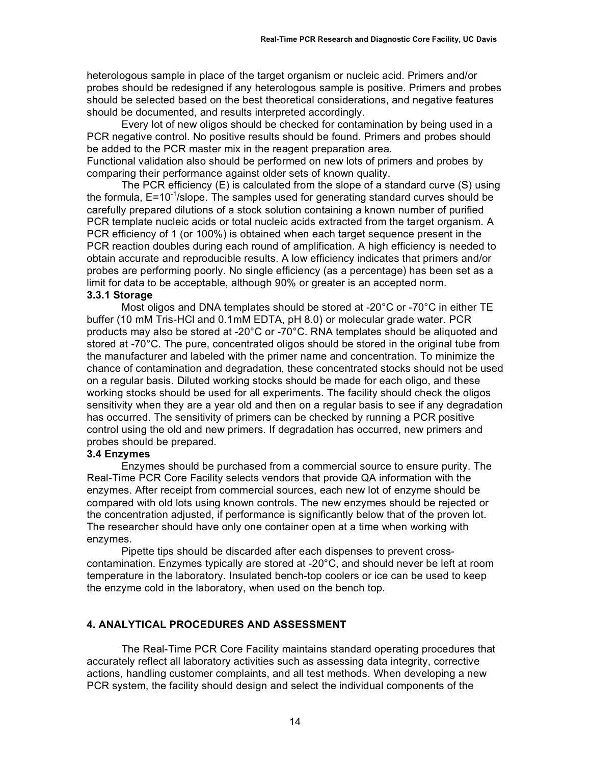heterologous sample in place of the target organism or nucleic acid. Primers and/or probes should be redesigned if any heterologous sample is positive. Primers and probes should be selected based on the best theoretical considerations, and negative features should be documented, and results interpreted accordingly.

Every lot of new oligos should be checked for contamination by being used in a PCR negative control. No positive results should be found. Primers and probes should be added to the PCR master mix in the reagent preparation area.

Functional validation also should be performed on new lots of primers and probes by comparing their performance against older sets of known quality.

The PCR efficiency (E) is calculated from the slope of a standard curve (S) using the formula,  $E = 10^{-1}$ /slope. The samples used for generating standard curves should be carefully prepared dilutions of a stock solution containing a known number of purified PCR template nucleic acids or total nucleic acids extracted from the target organism. A PCR efficiency of 1 (or 100%) is obtained when each target sequence present in the PCR reaction doubles during each round of amplification. A high efficiency is needed to obtain accurate and reproducible results. A low efficiency indicates that primers and/or probes are performing poorly. No single efficiency (as a percentage) has been set as a limit for data to be acceptable, although 90% or greater is an accepted norm.

#### **3.3.1 Storage**

Most oligos and DNA templates should be stored at -20°C or -70°C in either TE buffer (10 mM Tris-HCl and 0.1mM EDTA, pH 8.0) or molecular grade water. PCR products may also be stored at -20°C or -70°C. RNA templates should be aliquoted and stored at -70°C. The pure, concentrated oligos should be stored in the original tube from the manufacturer and labeled with the primer name and concentration. To minimize the chance of contamination and degradation, these concentrated stocks should not be used on a regular basis. Diluted working stocks should be made for each oligo, and these working stocks should be used for all experiments. The facility should check the oligos sensitivity when they are a year old and then on a regular basis to see if any degradation has occurred. The sensitivity of primers can be checked by running a PCR positive control using the old and new primers. If degradation has occurred, new primers and probes should be prepared.

#### **3.4 Enzymes**

Enzymes should be purchased from a commercial source to ensure purity. The Real-Time PCR Core Facility selects vendors that provide QA information with the enzymes. After receipt from commercial sources, each new lot of enzyme should be compared with old lots using known controls. The new enzymes should be rejected or the concentration adjusted, if performance is significantly below that of the proven lot. The researcher should have only one container open at a time when working with enzymes.

Pipette tips should be discarded after each dispenses to prevent crosscontamination. Enzymes typically are stored at -20°C, and should never be left at room temperature in the laboratory. Insulated bench-top coolers or ice can be used to keep the enzyme cold in the laboratory, when used on the bench top.

### **4. ANALYTICAL PROCEDURES AND ASSESSMENT**

The Real-Time PCR Core Facility maintains standard operating procedures that accurately reflect all laboratory activities such as assessing data integrity, corrective actions, handling customer complaints, and all test methods. When developing a new PCR system, the facility should design and select the individual components of the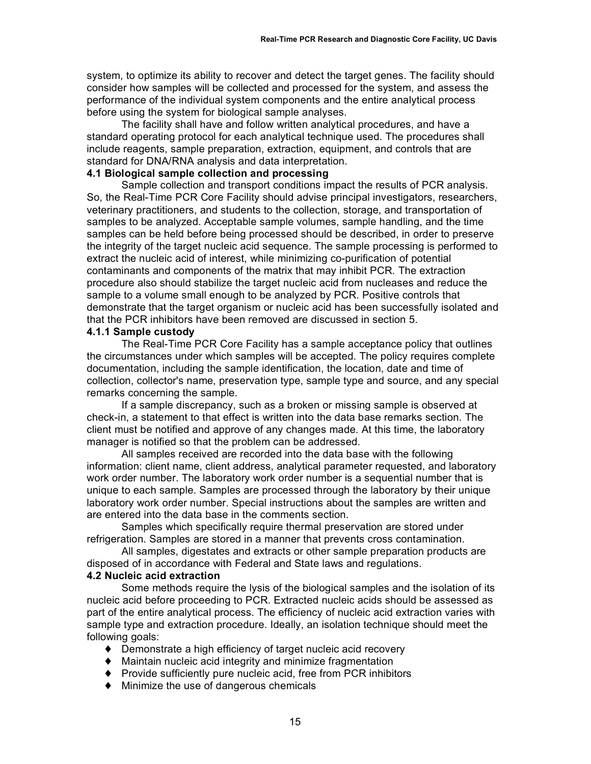system, to optimize its ability to recover and detect the target genes. The facility should consider how samples will be collected and processed for the system, and assess the performance of the individual system components and the entire analytical process before using the system for biological sample analyses.

The facility shall have and follow written analytical procedures, and have a standard operating protocol for each analytical technique used. The procedures shall include reagents, sample preparation, extraction, equipment, and controls that are standard for DNA/RNA analysis and data interpretation.

### **4.1 Biological sample collection and processing**

Sample collection and transport conditions impact the results of PCR analysis. So, the Real-Time PCR Core Facility should advise principal investigators, researchers, veterinary practitioners, and students to the collection, storage, and transportation of samples to be analyzed. Acceptable sample volumes, sample handling, and the time samples can be held before being processed should be described, in order to preserve the integrity of the target nucleic acid sequence. The sample processing is performed to extract the nucleic acid of interest, while minimizing co-purification of potential contaminants and components of the matrix that may inhibit PCR. The extraction procedure also should stabilize the target nucleic acid from nucleases and reduce the sample to a volume small enough to be analyzed by PCR. Positive controls that demonstrate that the target organism or nucleic acid has been successfully isolated and that the PCR inhibitors have been removed are discussed in section 5.

### **4.1.1 Sample custody**

The Real-Time PCR Core Facility has a sample acceptance policy that outlines the circumstances under which samples will be accepted. The policy requires complete documentation, including the sample identification, the location, date and time of collection, collector's name, preservation type, sample type and source, and any special remarks concerning the sample.

If a sample discrepancy, such as a broken or missing sample is observed at check-in, a statement to that effect is written into the data base remarks section. The client must be notified and approve of any changes made. At this time, the laboratory manager is notified so that the problem can be addressed.

All samples received are recorded into the data base with the following information: client name, client address, analytical parameter requested, and laboratory work order number. The laboratory work order number is a sequential number that is unique to each sample. Samples are processed through the laboratory by their unique laboratory work order number. Special instructions about the samples are written and are entered into the data base in the comments section.

Samples which specifically require thermal preservation are stored under refrigeration. Samples are stored in a manner that prevents cross contamination.

All samples, digestates and extracts or other sample preparation products are disposed of in accordance with Federal and State laws and regulations.

#### **4.2 Nucleic acid extraction**

Some methods require the lysis of the biological samples and the isolation of its nucleic acid before proceeding to PCR. Extracted nucleic acids should be assessed as part of the entire analytical process. The efficiency of nucleic acid extraction varies with sample type and extraction procedure. Ideally, an isolation technique should meet the following goals:

- ♦ Demonstrate a high efficiency of target nucleic acid recovery
- ♦ Maintain nucleic acid integrity and minimize fragmentation
- ♦ Provide sufficiently pure nucleic acid, free from PCR inhibitors
- ♦ Minimize the use of dangerous chemicals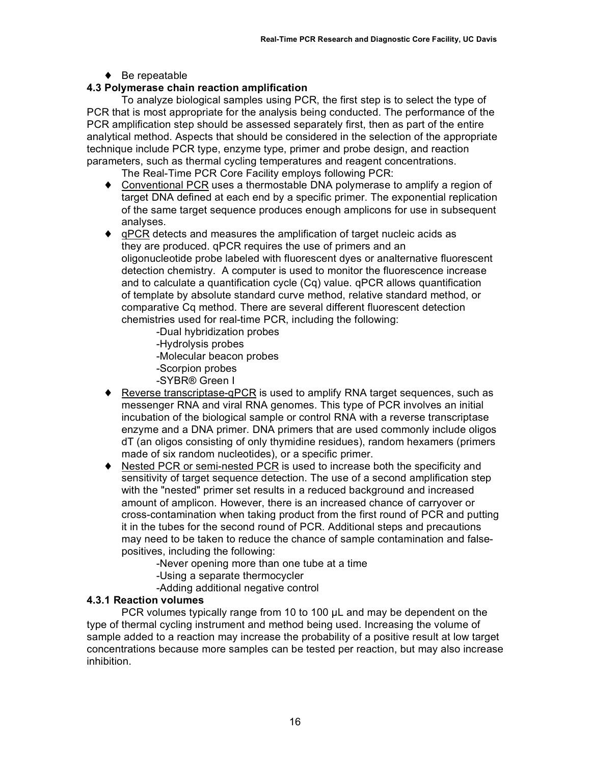♦ Be repeatable

# **4.3 Polymerase chain reaction amplification**

To analyze biological samples using PCR, the first step is to select the type of PCR that is most appropriate for the analysis being conducted. The performance of the PCR amplification step should be assessed separately first, then as part of the entire analytical method. Aspects that should be considered in the selection of the appropriate technique include PCR type, enzyme type, primer and probe design, and reaction parameters, such as thermal cycling temperatures and reagent concentrations.

- The Real-Time PCR Core Facility employs following PCR:
- ♦ Conventional PCR uses a thermostable DNA polymerase to amplify a region of target DNA defined at each end by a specific primer. The exponential replication of the same target sequence produces enough amplicons for use in subsequent analyses.
- ♦ qPCR detects and measures the amplification of target nucleic acids as they are produced. qPCR requires the use of primers and an oligonucleotide probe labeled with fluorescent dyes or analternative fluorescent detection chemistry. A computer is used to monitor the fluorescence increase and to calculate a quantification cycle (Cq) value. qPCR allows quantification of template by absolute standard curve method, relative standard method, or comparative Cq method. There are several different fluorescent detection chemistries used for real-time PCR, including the following:
	- -Dual hybridization probes
	- -Hydrolysis probes
	- -Molecular beacon probes
	- -Scorpion probes
	- -SYBR® Green I
- ◆ Reverse transcriptase-qPCR is used to amplify RNA target sequences, such as messenger RNA and viral RNA genomes. This type of PCR involves an initial incubation of the biological sample or control RNA with a reverse transcriptase enzyme and a DNA primer. DNA primers that are used commonly include oligos dT (an oligos consisting of only thymidine residues), random hexamers (primers made of six random nucleotides), or a specific primer.
- Nested PCR or semi-nested PCR is used to increase both the specificity and sensitivity of target sequence detection. The use of a second amplification step with the "nested" primer set results in a reduced background and increased amount of amplicon. However, there is an increased chance of carryover or cross-contamination when taking product from the first round of PCR and putting it in the tubes for the second round of PCR. Additional steps and precautions may need to be taken to reduce the chance of sample contamination and falsepositives, including the following:
	- -Never opening more than one tube at a time
	- -Using a separate thermocycler
	- -Adding additional negative control

### **4.3.1 Reaction volumes**

PCR volumes typically range from 10 to 100 µL and may be dependent on the type of thermal cycling instrument and method being used. Increasing the volume of sample added to a reaction may increase the probability of a positive result at low target concentrations because more samples can be tested per reaction, but may also increase inhibition.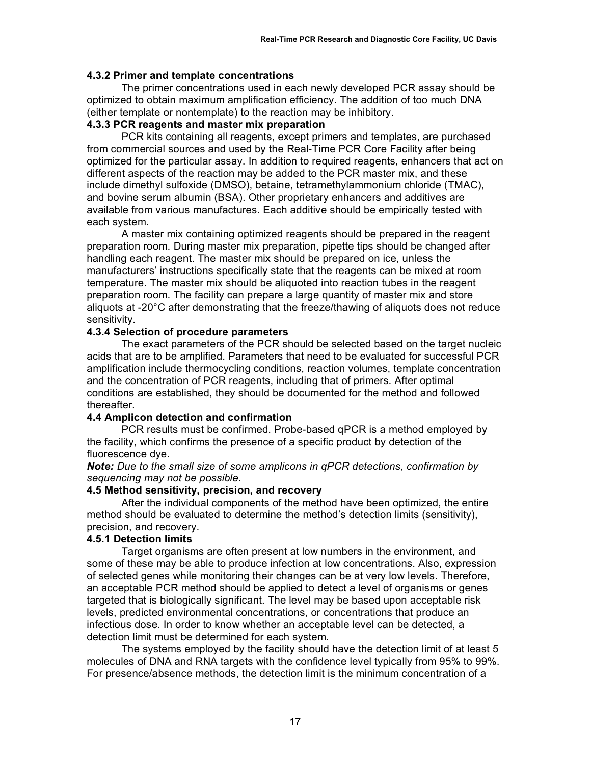### **4.3.2 Primer and template concentrations**

The primer concentrations used in each newly developed PCR assay should be optimized to obtain maximum amplification efficiency. The addition of too much DNA (either template or nontemplate) to the reaction may be inhibitory.

### **4.3.3 PCR reagents and master mix preparation**

PCR kits containing all reagents, except primers and templates, are purchased from commercial sources and used by the Real-Time PCR Core Facility after being optimized for the particular assay. In addition to required reagents, enhancers that act on different aspects of the reaction may be added to the PCR master mix, and these include dimethyl sulfoxide (DMSO), betaine, tetramethylammonium chloride (TMAC), and bovine serum albumin (BSA). Other proprietary enhancers and additives are available from various manufactures. Each additive should be empirically tested with each system.

A master mix containing optimized reagents should be prepared in the reagent preparation room. During master mix preparation, pipette tips should be changed after handling each reagent. The master mix should be prepared on ice, unless the manufacturers' instructions specifically state that the reagents can be mixed at room temperature. The master mix should be aliquoted into reaction tubes in the reagent preparation room. The facility can prepare a large quantity of master mix and store aliquots at -20°C after demonstrating that the freeze/thawing of aliquots does not reduce sensitivity.

### **4.3.4 Selection of procedure parameters**

The exact parameters of the PCR should be selected based on the target nucleic acids that are to be amplified. Parameters that need to be evaluated for successful PCR amplification include thermocycling conditions, reaction volumes, template concentration and the concentration of PCR reagents, including that of primers. After optimal conditions are established, they should be documented for the method and followed thereafter.

### **4.4 Amplicon detection and confirmation**

PCR results must be confirmed. Probe-based qPCR is a method employed by the facility, which confirms the presence of a specific product by detection of the fluorescence dye.

*Note: Due to the small size of some amplicons in qPCR detections, confirmation by sequencing may not be possible.*

### **4.5 Method sensitivity, precision, and recovery**

After the individual components of the method have been optimized, the entire method should be evaluated to determine the method's detection limits (sensitivity), precision, and recovery.

### **4.5.1 Detection limits**

Target organisms are often present at low numbers in the environment, and some of these may be able to produce infection at low concentrations. Also, expression of selected genes while monitoring their changes can be at very low levels. Therefore, an acceptable PCR method should be applied to detect a level of organisms or genes targeted that is biologically significant. The level may be based upon acceptable risk levels, predicted environmental concentrations, or concentrations that produce an infectious dose. In order to know whether an acceptable level can be detected, a detection limit must be determined for each system.

The systems employed by the facility should have the detection limit of at least 5 molecules of DNA and RNA targets with the confidence level typically from 95% to 99%. For presence/absence methods, the detection limit is the minimum concentration of a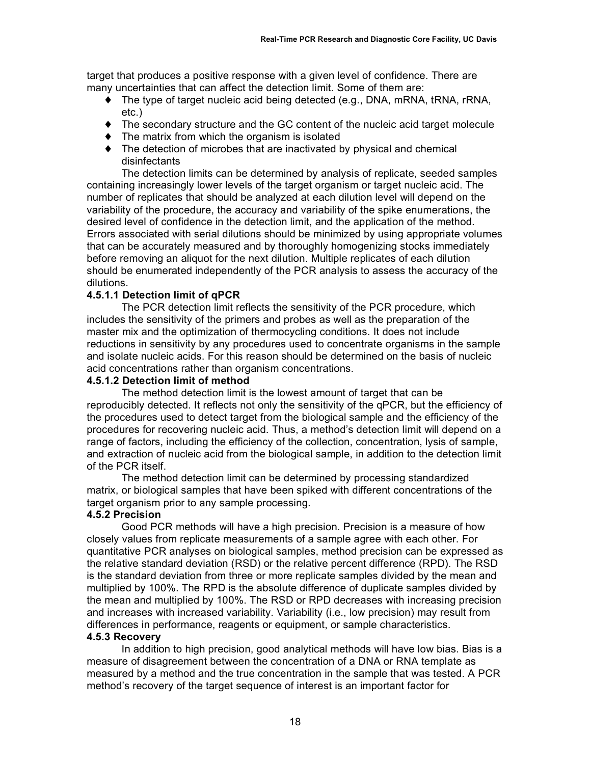target that produces a positive response with a given level of confidence. There are many uncertainties that can affect the detection limit. Some of them are:

- ♦ The type of target nucleic acid being detected (e.g., DNA, mRNA, tRNA, rRNA, etc.)
- ♦ The secondary structure and the GC content of the nucleic acid target molecule
- ♦ The matrix from which the organism is isolated
- ♦ The detection of microbes that are inactivated by physical and chemical disinfectants

The detection limits can be determined by analysis of replicate, seeded samples containing increasingly lower levels of the target organism or target nucleic acid. The number of replicates that should be analyzed at each dilution level will depend on the variability of the procedure, the accuracy and variability of the spike enumerations, the desired level of confidence in the detection limit, and the application of the method. Errors associated with serial dilutions should be minimized by using appropriate volumes that can be accurately measured and by thoroughly homogenizing stocks immediately before removing an aliquot for the next dilution. Multiple replicates of each dilution should be enumerated independently of the PCR analysis to assess the accuracy of the dilutions.

### **4.5.1.1 Detection limit of qPCR**

The PCR detection limit reflects the sensitivity of the PCR procedure, which includes the sensitivity of the primers and probes as well as the preparation of the master mix and the optimization of thermocycling conditions. It does not include reductions in sensitivity by any procedures used to concentrate organisms in the sample and isolate nucleic acids. For this reason should be determined on the basis of nucleic acid concentrations rather than organism concentrations.

### **4.5.1.2 Detection limit of method**

The method detection limit is the lowest amount of target that can be reproducibly detected. It reflects not only the sensitivity of the qPCR, but the efficiency of the procedures used to detect target from the biological sample and the efficiency of the procedures for recovering nucleic acid. Thus, a method's detection limit will depend on a range of factors, including the efficiency of the collection, concentration, lysis of sample, and extraction of nucleic acid from the biological sample, in addition to the detection limit of the PCR itself.

The method detection limit can be determined by processing standardized matrix, or biological samples that have been spiked with different concentrations of the target organism prior to any sample processing.

### **4.5.2 Precision**

Good PCR methods will have a high precision. Precision is a measure of how closely values from replicate measurements of a sample agree with each other. For quantitative PCR analyses on biological samples, method precision can be expressed as the relative standard deviation (RSD) or the relative percent difference (RPD). The RSD is the standard deviation from three or more replicate samples divided by the mean and multiplied by 100%. The RPD is the absolute difference of duplicate samples divided by the mean and multiplied by 100%. The RSD or RPD decreases with increasing precision and increases with increased variability. Variability (i.e., low precision) may result from differences in performance, reagents or equipment, or sample characteristics.

#### **4.5.3 Recovery**

In addition to high precision, good analytical methods will have low bias. Bias is a measure of disagreement between the concentration of a DNA or RNA template as measured by a method and the true concentration in the sample that was tested. A PCR method's recovery of the target sequence of interest is an important factor for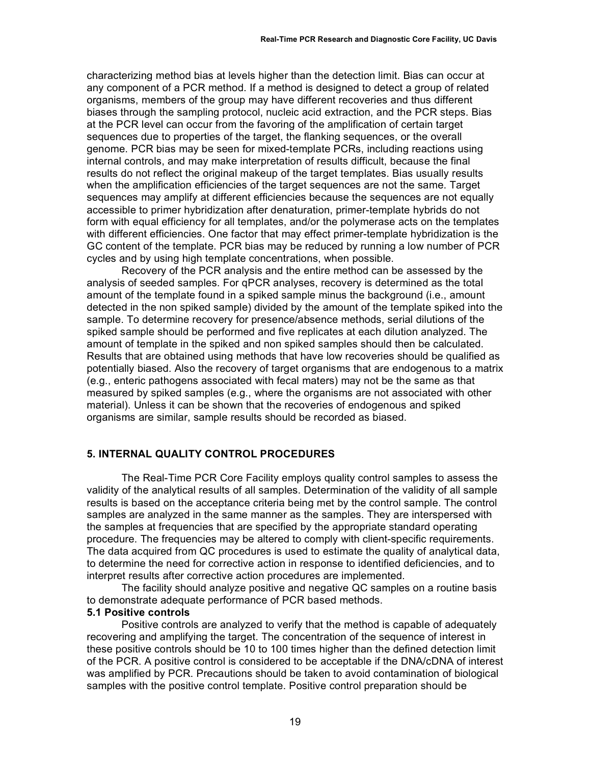characterizing method bias at levels higher than the detection limit. Bias can occur at any component of a PCR method. If a method is designed to detect a group of related organisms, members of the group may have different recoveries and thus different biases through the sampling protocol, nucleic acid extraction, and the PCR steps. Bias at the PCR level can occur from the favoring of the amplification of certain target sequences due to properties of the target, the flanking sequences, or the overall genome. PCR bias may be seen for mixed-template PCRs, including reactions using internal controls, and may make interpretation of results difficult, because the final results do not reflect the original makeup of the target templates. Bias usually results when the amplification efficiencies of the target sequences are not the same. Target sequences may amplify at different efficiencies because the sequences are not equally accessible to primer hybridization after denaturation, primer-template hybrids do not form with equal efficiency for all templates, and/or the polymerase acts on the templates with different efficiencies. One factor that may effect primer-template hybridization is the GC content of the template. PCR bias may be reduced by running a low number of PCR cycles and by using high template concentrations, when possible.

Recovery of the PCR analysis and the entire method can be assessed by the analysis of seeded samples. For qPCR analyses, recovery is determined as the total amount of the template found in a spiked sample minus the background (i.e., amount detected in the non spiked sample) divided by the amount of the template spiked into the sample. To determine recovery for presence/absence methods, serial dilutions of the spiked sample should be performed and five replicates at each dilution analyzed. The amount of template in the spiked and non spiked samples should then be calculated. Results that are obtained using methods that have low recoveries should be qualified as potentially biased. Also the recovery of target organisms that are endogenous to a matrix (e.g., enteric pathogens associated with fecal maters) may not be the same as that measured by spiked samples (e.g., where the organisms are not associated with other material). Unless it can be shown that the recoveries of endogenous and spiked organisms are similar, sample results should be recorded as biased.

### **5. INTERNAL QUALITY CONTROL PROCEDURES**

The Real-Time PCR Core Facility employs quality control samples to assess the validity of the analytical results of all samples. Determination of the validity of all sample results is based on the acceptance criteria being met by the control sample. The control samples are analyzed in the same manner as the samples. They are interspersed with the samples at frequencies that are specified by the appropriate standard operating procedure. The frequencies may be altered to comply with client-specific requirements. The data acquired from QC procedures is used to estimate the quality of analytical data, to determine the need for corrective action in response to identified deficiencies, and to interpret results after corrective action procedures are implemented.

The facility should analyze positive and negative QC samples on a routine basis to demonstrate adequate performance of PCR based methods.

#### **5.1 Positive controls**

Positive controls are analyzed to verify that the method is capable of adequately recovering and amplifying the target. The concentration of the sequence of interest in these positive controls should be 10 to 100 times higher than the defined detection limit of the PCR. A positive control is considered to be acceptable if the DNA/cDNA of interest was amplified by PCR. Precautions should be taken to avoid contamination of biological samples with the positive control template. Positive control preparation should be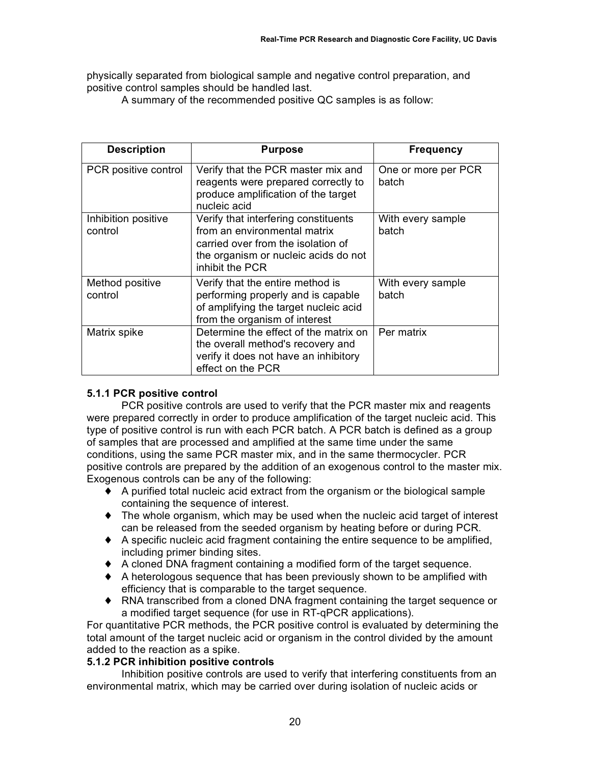physically separated from biological sample and negative control preparation, and positive control samples should be handled last.

A summary of the recommended positive QC samples is as follow:

| <b>Description</b>             | <b>Purpose</b>                                                                                                                                                        | <b>Frequency</b>             |
|--------------------------------|-----------------------------------------------------------------------------------------------------------------------------------------------------------------------|------------------------------|
| PCR positive control           | Verify that the PCR master mix and<br>reagents were prepared correctly to<br>produce amplification of the target<br>nucleic acid                                      | One or more per PCR<br>batch |
| Inhibition positive<br>control | Verify that interfering constituents<br>from an environmental matrix<br>carried over from the isolation of<br>the organism or nucleic acids do not<br>inhibit the PCR | With every sample<br>batch   |
| Method positive<br>control     | Verify that the entire method is<br>performing properly and is capable<br>of amplifying the target nucleic acid<br>from the organism of interest                      | With every sample<br>batch   |
| Matrix spike                   | Determine the effect of the matrix on<br>the overall method's recovery and<br>verify it does not have an inhibitory<br>effect on the PCR                              | Per matrix                   |

### **5.1.1 PCR positive control**

PCR positive controls are used to verify that the PCR master mix and reagents were prepared correctly in order to produce amplification of the target nucleic acid. This type of positive control is run with each PCR batch. A PCR batch is defined as a group of samples that are processed and amplified at the same time under the same conditions, using the same PCR master mix, and in the same thermocycler. PCR positive controls are prepared by the addition of an exogenous control to the master mix. Exogenous controls can be any of the following:

- ♦ A purified total nucleic acid extract from the organism or the biological sample containing the sequence of interest.
- ♦ The whole organism, which may be used when the nucleic acid target of interest can be released from the seeded organism by heating before or during PCR.
- $\blacklozenge$  A specific nucleic acid fragment containing the entire sequence to be amplified, including primer binding sites.
- ♦ A cloned DNA fragment containing a modified form of the target sequence.
- ♦ A heterologous sequence that has been previously shown to be amplified with efficiency that is comparable to the target sequence.
- ♦ RNA transcribed from a cloned DNA fragment containing the target sequence or a modified target sequence (for use in RT-qPCR applications).

For quantitative PCR methods, the PCR positive control is evaluated by determining the total amount of the target nucleic acid or organism in the control divided by the amount added to the reaction as a spike.

### **5.1.2 PCR inhibition positive controls**

Inhibition positive controls are used to verify that interfering constituents from an environmental matrix, which may be carried over during isolation of nucleic acids or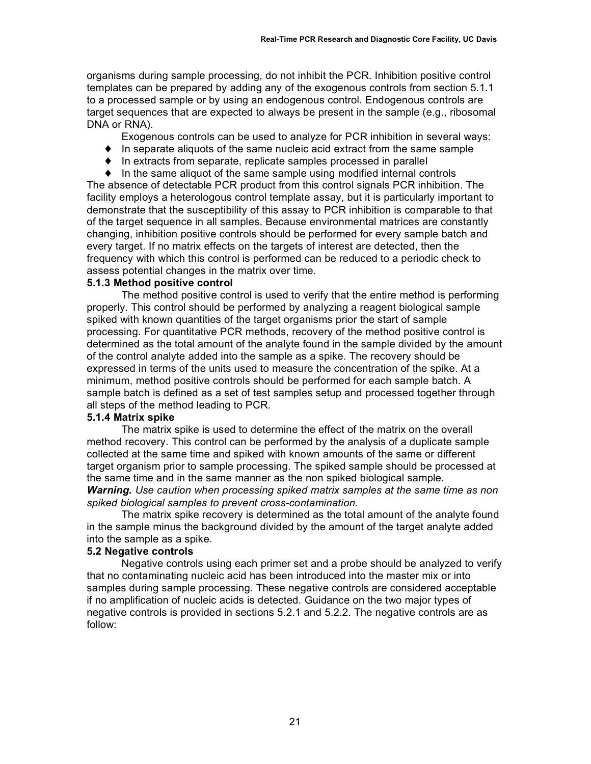organisms during sample processing, do not inhibit the PCR. Inhibition positive control templates can be prepared by adding any of the exogenous controls from section 5.1.1 to a processed sample or by using an endogenous control. Endogenous controls are target sequences that are expected to always be present in the sample (e.g., ribosomal DNA or RNA).

Exogenous controls can be used to analyze for PCR inhibition in several ways:

- $\bullet$  In separate aliquots of the same nucleic acid extract from the same sample
- ♦ In extracts from separate, replicate samples processed in parallel
- $\bullet$  In the same aliquot of the same sample using modified internal controls

The absence of detectable PCR product from this control signals PCR inhibition. The facility employs a heterologous control template assay, but it is particularly important to demonstrate that the susceptibility of this assay to PCR inhibition is comparable to that of the target sequence in all samples. Because environmental matrices are constantly changing, inhibition positive controls should be performed for every sample batch and every target. If no matrix effects on the targets of interest are detected, then the frequency with which this control is performed can be reduced to a periodic check to assess potential changes in the matrix over time.

#### **5.1.3 Method positive control**

The method positive control is used to verify that the entire method is performing properly. This control should be performed by analyzing a reagent biological sample spiked with known quantities of the target organisms prior the start of sample processing. For quantitative PCR methods, recovery of the method positive control is determined as the total amount of the analyte found in the sample divided by the amount of the control analyte added into the sample as a spike. The recovery should be expressed in terms of the units used to measure the concentration of the spike. At a minimum, method positive controls should be performed for each sample batch. A sample batch is defined as a set of test samples setup and processed together through all steps of the method leading to PCR.

#### **5.1.4 Matrix spike**

The matrix spike is used to determine the effect of the matrix on the overall method recovery. This control can be performed by the analysis of a duplicate sample collected at the same time and spiked with known amounts of the same or different target organism prior to sample processing. The spiked sample should be processed at the same time and in the same manner as the non spiked biological sample. *Warning. Use caution when processing spiked matrix samples at the same time as non spiked biological samples to prevent cross-contamination.*

The matrix spike recovery is determined as the total amount of the analyte found in the sample minus the background divided by the amount of the target analyte added into the sample as a spike.

#### **5.2 Negative controls**

Negative controls using each primer set and a probe should be analyzed to verify that no contaminating nucleic acid has been introduced into the master mix or into samples during sample processing. These negative controls are considered acceptable if no amplification of nucleic acids is detected. Guidance on the two major types of negative controls is provided in sections 5.2.1 and 5.2.2. The negative controls are as follow: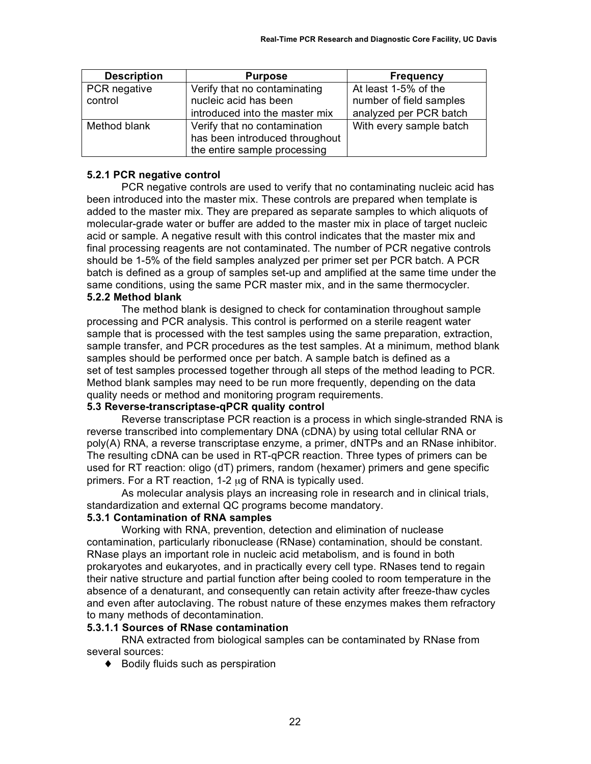| <b>Description</b> | <b>Purpose</b>                 | <b>Frequency</b>        |
|--------------------|--------------------------------|-------------------------|
| PCR negative       | Verify that no contaminating   | At least 1-5% of the    |
| control            | nucleic acid has been          | number of field samples |
|                    | introduced into the master mix | analyzed per PCR batch  |
| Method blank       | Verify that no contamination   | With every sample batch |
|                    | has been introduced throughout |                         |
|                    | the entire sample processing   |                         |

#### **5.2.1 PCR negative control**

PCR negative controls are used to verify that no contaminating nucleic acid has been introduced into the master mix. These controls are prepared when template is added to the master mix. They are prepared as separate samples to which aliquots of molecular-grade water or buffer are added to the master mix in place of target nucleic acid or sample. A negative result with this control indicates that the master mix and final processing reagents are not contaminated. The number of PCR negative controls should be 1-5% of the field samples analyzed per primer set per PCR batch. A PCR batch is defined as a group of samples set-up and amplified at the same time under the same conditions, using the same PCR master mix, and in the same thermocycler. **5.2.2 Method blank**

### The method blank is designed to check for contamination throughout sample processing and PCR analysis. This control is performed on a sterile reagent water sample that is processed with the test samples using the same preparation, extraction, sample transfer, and PCR procedures as the test samples. At a minimum, method blank samples should be performed once per batch. A sample batch is defined as a set of test samples processed together through all steps of the method leading to PCR. Method blank samples may need to be run more frequently, depending on the data quality needs or method and monitoring program requirements.

### **5.3 Reverse-transcriptase-qPCR quality control**

Reverse transcriptase PCR reaction is a process in which single-stranded RNA is reverse transcribed into complementary DNA (cDNA) by using total cellular RNA or poly(A) RNA, a reverse transcriptase enzyme, a primer, dNTPs and an RNase inhibitor. The resulting cDNA can be used in RT-qPCR reaction. Three types of primers can be used for RT reaction: oligo (dT) primers, random (hexamer) primers and gene specific primers. For a RT reaction, 1-2 µg of RNA is typically used.

As molecular analysis plays an increasing role in research and in clinical trials, standardization and external QC programs become mandatory.

#### **5.3.1 Contamination of RNA samples**

Working with RNA, prevention, detection and elimination of nuclease contamination, particularly ribonuclease (RNase) contamination, should be constant. RNase plays an important role in nucleic acid metabolism, and is found in both prokaryotes and eukaryotes, and in practically every cell type. RNases tend to regain their native structure and partial function after being cooled to room temperature in the absence of a denaturant, and consequently can retain activity after freeze-thaw cycles and even after autoclaving. The robust nature of these enzymes makes them refractory to many methods of decontamination.

### **5.3.1.1 Sources of RNase contamination**

RNA extracted from biological samples can be contaminated by RNase from several sources:

♦ Bodily fluids such as perspiration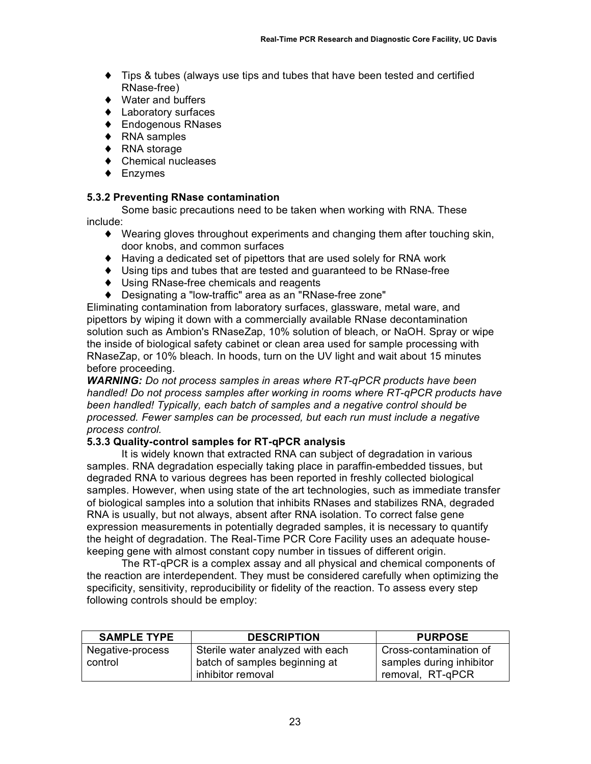- ♦ Tips & tubes (always use tips and tubes that have been tested and certified RNase-free)
- ♦ Water and buffers
- ♦ Laboratory surfaces
- ♦ Endogenous RNases
- ♦ RNA samples
- ♦ RNA storage
- ♦ Chemical nucleases
- ♦ Enzymes

#### **5.3.2 Preventing RNase contamination**

Some basic precautions need to be taken when working with RNA. These include:

- ♦ Wearing gloves throughout experiments and changing them after touching skin, door knobs, and common surfaces
- ♦ Having a dedicated set of pipettors that are used solely for RNA work
- ♦ Using tips and tubes that are tested and guaranteed to be RNase-free
- ♦ Using RNase-free chemicals and reagents
- ♦ Designating a "low-traffic" area as an "RNase-free zone"

Eliminating contamination from laboratory surfaces, glassware, metal ware, and pipettors by wiping it down with a commercially available RNase decontamination solution such as Ambion's RNaseZap, 10% solution of bleach, or NaOH. Spray or wipe the inside of biological safety cabinet or clean area used for sample processing with RNaseZap, or 10% bleach. In hoods, turn on the UV light and wait about 15 minutes before proceeding.

*WARNING: Do not process samples in areas where RT-qPCR products have been handled! Do not process samples after working in rooms where RT-qPCR products have been handled! Typically, each batch of samples and a negative control should be processed. Fewer samples can be processed, but each run must include a negative process control.*

#### **5.3.3 Quality-control samples for RT-qPCR analysis**

It is widely known that extracted RNA can subject of degradation in various samples. RNA degradation especially taking place in paraffin-embedded tissues, but degraded RNA to various degrees has been reported in freshly collected biological samples. However, when using state of the art technologies, such as immediate transfer of biological samples into a solution that inhibits RNases and stabilizes RNA, degraded RNA is usually, but not always, absent after RNA isolation. To correct false gene expression measurements in potentially degraded samples, it is necessary to quantify the height of degradation. The Real-Time PCR Core Facility uses an adequate housekeeping gene with almost constant copy number in tissues of different origin.

The RT-qPCR is a complex assay and all physical and chemical components of the reaction are interdependent. They must be considered carefully when optimizing the specificity, sensitivity, reproducibility or fidelity of the reaction. To assess every step following controls should be employ:

| <b>SAMPLE TYPE</b> | <b>DESCRIPTION</b>               | <b>PURPOSE</b>           |
|--------------------|----------------------------------|--------------------------|
| Negative-process   | Sterile water analyzed with each | Cross-contamination of   |
| control            | batch of samples beginning at    | samples during inhibitor |
|                    | inhibitor removal                | removal, RT-qPCR         |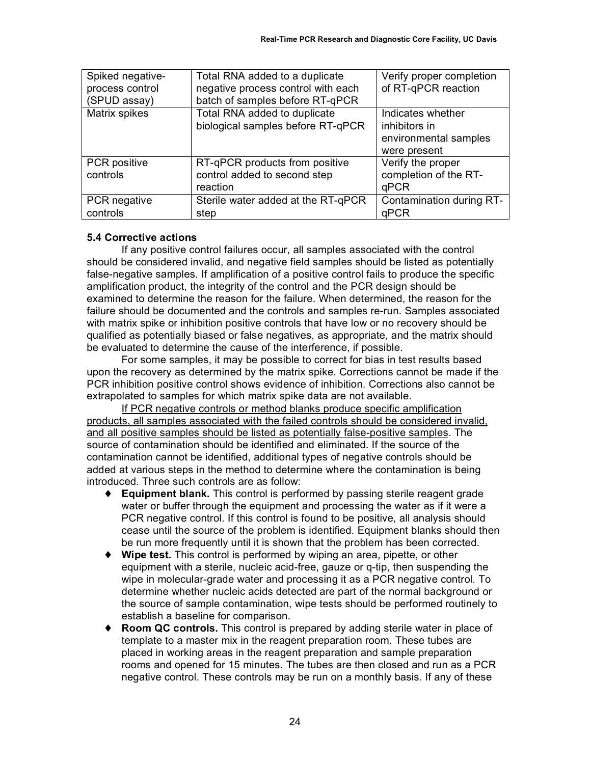| Spiked negative-<br>process control<br>(SPUD assay) | Total RNA added to a duplicate<br>negative process control with each<br>batch of samples before RT-qPCR | Verify proper completion<br>of RT-qPCR reaction                             |
|-----------------------------------------------------|---------------------------------------------------------------------------------------------------------|-----------------------------------------------------------------------------|
| Matrix spikes                                       | Total RNA added to duplicate<br>biological samples before RT-qPCR                                       | Indicates whether<br>inhibitors in<br>environmental samples<br>were present |
| <b>PCR</b> positive<br>controls                     | RT-qPCR products from positive<br>control added to second step<br>reaction                              | Verify the proper<br>completion of the RT-<br>qPCR                          |
| PCR negative<br>controls                            | Sterile water added at the RT-qPCR<br>step                                                              | Contamination during RT-<br>qPCR                                            |

#### **5.4 Corrective actions**

If any positive control failures occur, all samples associated with the control should be considered invalid, and negative field samples should be listed as potentially false-negative samples. If amplification of a positive control fails to produce the specific amplification product, the integrity of the control and the PCR design should be examined to determine the reason for the failure. When determined, the reason for the failure should be documented and the controls and samples re-run. Samples associated with matrix spike or inhibition positive controls that have low or no recovery should be qualified as potentially biased or false negatives, as appropriate, and the matrix should be evaluated to determine the cause of the interference, if possible.

For some samples, it may be possible to correct for bias in test results based upon the recovery as determined by the matrix spike. Corrections cannot be made if the PCR inhibition positive control shows evidence of inhibition. Corrections also cannot be extrapolated to samples for which matrix spike data are not available.

If PCR negative controls or method blanks produce specific amplification products, all samples associated with the failed controls should be considered invalid, and all positive samples should be listed as potentially false-positive samples. The source of contamination should be identified and eliminated. If the source of the contamination cannot be identified, additional types of negative controls should be added at various steps in the method to determine where the contamination is being introduced. Three such controls are as follow:

- ♦ **Equipment blank.** This control is performed by passing sterile reagent grade water or buffer through the equipment and processing the water as if it were a PCR negative control. If this control is found to be positive, all analysis should cease until the source of the problem is identified. Equipment blanks should then be run more frequently until it is shown that the problem has been corrected.
- ♦ **Wipe test.** This control is performed by wiping an area, pipette, or other equipment with a sterile, nucleic acid-free, gauze or q-tip, then suspending the wipe in molecular-grade water and processing it as a PCR negative control. To determine whether nucleic acids detected are part of the normal background or the source of sample contamination, wipe tests should be performed routinely to establish a baseline for comparison.
- **Room QC controls.** This control is prepared by adding sterile water in place of template to a master mix in the reagent preparation room. These tubes are placed in working areas in the reagent preparation and sample preparation rooms and opened for 15 minutes. The tubes are then closed and run as a PCR negative control. These controls may be run on a monthly basis. If any of these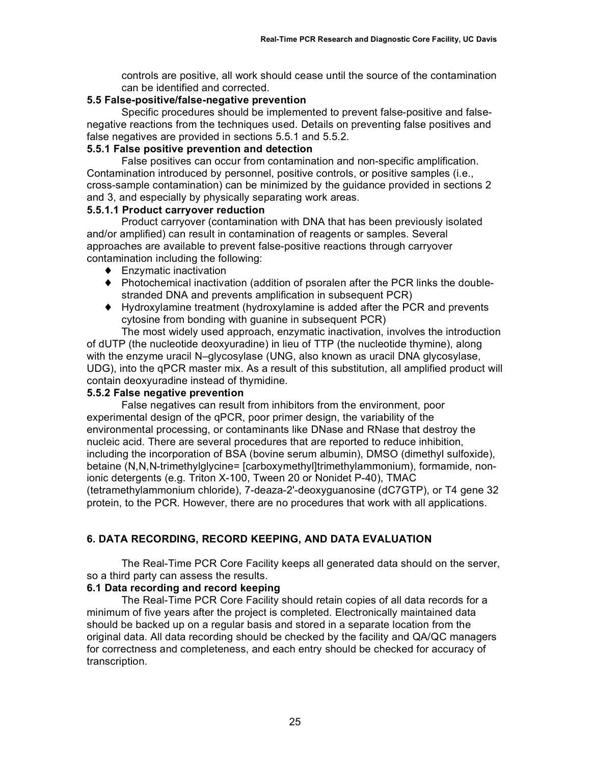controls are positive, all work should cease until the source of the contamination can be identified and corrected.

### **5.5 False-positive/false-negative prevention**

Specific procedures should be implemented to prevent false-positive and falsenegative reactions from the techniques used. Details on preventing false positives and false negatives are provided in sections 5.5.1 and 5.5.2.

### **5.5.1 False positive prevention and detection**

False positives can occur from contamination and non-specific amplification. Contamination introduced by personnel, positive controls, or positive samples (i.e., cross-sample contamination) can be minimized by the guidance provided in sections 2 and 3, and especially by physically separating work areas.

### **5.5.1.1 Product carryover reduction**

Product carryover (contamination with DNA that has been previously isolated and/or amplified) can result in contamination of reagents or samples. Several approaches are available to prevent false-positive reactions through carryover contamination including the following:

- ♦ Enzymatic inactivation
- ♦ Photochemical inactivation (addition of psoralen after the PCR links the doublestranded DNA and prevents amplification in subsequent PCR)
- ♦ Hydroxylamine treatment (hydroxylamine is added after the PCR and prevents cytosine from bonding with guanine in subsequent PCR)

The most widely used approach, enzymatic inactivation, involves the introduction of dUTP (the nucleotide deoxyuradine) in lieu of TTP (the nucleotide thymine), along with the enzyme uracil N–glycosylase (UNG, also known as uracil DNA glycosylase, UDG), into the qPCR master mix. As a result of this substitution, all amplified product will contain deoxyuradine instead of thymidine.

### **5.5.2 False negative prevention**

False negatives can result from inhibitors from the environment, poor experimental design of the qPCR, poor primer design, the variability of the environmental processing, or contaminants like DNase and RNase that destroy the nucleic acid. There are several procedures that are reported to reduce inhibition, including the incorporation of BSA (bovine serum albumin), DMSO (dimethyl sulfoxide), betaine (N,N,N-trimethylglycine= [carboxymethyl]trimethylammonium), formamide, nonionic detergents (e.g. Triton X-100, Tween 20 or Nonidet P-40), TMAC (tetramethylammonium chloride), 7-deaza-2'-deoxyguanosine (dC7GTP), or T4 gene 32 protein, to the PCR. However, there are no procedures that work with all applications.

# **6. DATA RECORDING, RECORD KEEPING, AND DATA EVALUATION**

The Real-Time PCR Core Facility keeps all generated data should on the server, so a third party can assess the results.

### **6.1 Data recording and record keeping**

The Real-Time PCR Core Facility should retain copies of all data records for a minimum of five years after the project is completed. Electronically maintained data should be backed up on a regular basis and stored in a separate location from the original data. All data recording should be checked by the facility and QA/QC managers for correctness and completeness, and each entry should be checked for accuracy of transcription.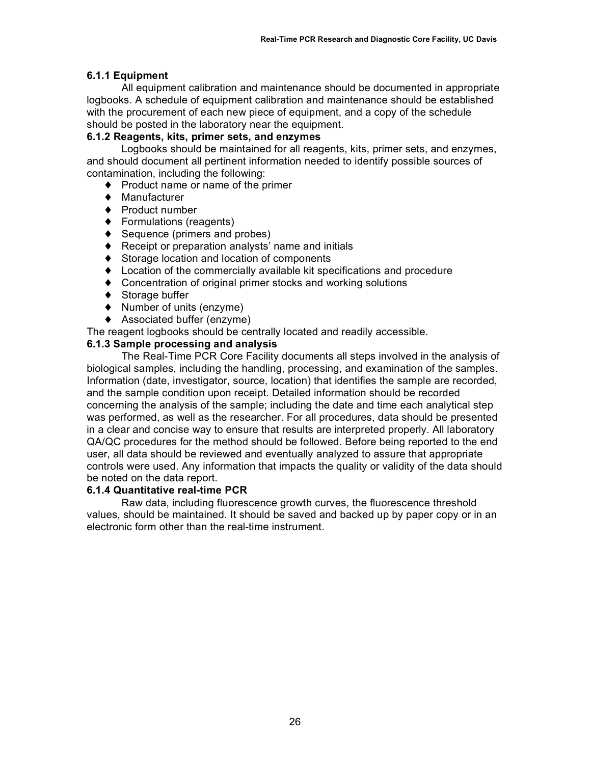#### **6.1.1 Equipment**

All equipment calibration and maintenance should be documented in appropriate logbooks. A schedule of equipment calibration and maintenance should be established with the procurement of each new piece of equipment, and a copy of the schedule should be posted in the laboratory near the equipment.

#### **6.1.2 Reagents, kits, primer sets, and enzymes**

Logbooks should be maintained for all reagents, kits, primer sets, and enzymes, and should document all pertinent information needed to identify possible sources of contamination, including the following:

- ♦ Product name or name of the primer
- ♦ Manufacturer
- ♦ Product number
- ♦ Formulations (reagents)
- ♦ Sequence (primers and probes)
- ♦ Receipt or preparation analysts' name and initials
- ♦ Storage location and location of components
- ♦ Location of the commercially available kit specifications and procedure
- ♦ Concentration of original primer stocks and working solutions
- ◆ Storage buffer
- ♦ Number of units (enzyme)
- ♦ Associated buffer (enzyme)
- The reagent logbooks should be centrally located and readily accessible.

#### **6.1.3 Sample processing and analysis**

The Real-Time PCR Core Facility documents all steps involved in the analysis of biological samples, including the handling, processing, and examination of the samples. Information (date, investigator, source, location) that identifies the sample are recorded, and the sample condition upon receipt. Detailed information should be recorded concerning the analysis of the sample; including the date and time each analytical step was performed, as well as the researcher. For all procedures, data should be presented in a clear and concise way to ensure that results are interpreted properly. All laboratory QA/QC procedures for the method should be followed. Before being reported to the end user, all data should be reviewed and eventually analyzed to assure that appropriate controls were used. Any information that impacts the quality or validity of the data should be noted on the data report.

#### **6.1.4 Quantitative real-time PCR**

Raw data, including fluorescence growth curves, the fluorescence threshold values, should be maintained. It should be saved and backed up by paper copy or in an electronic form other than the real-time instrument.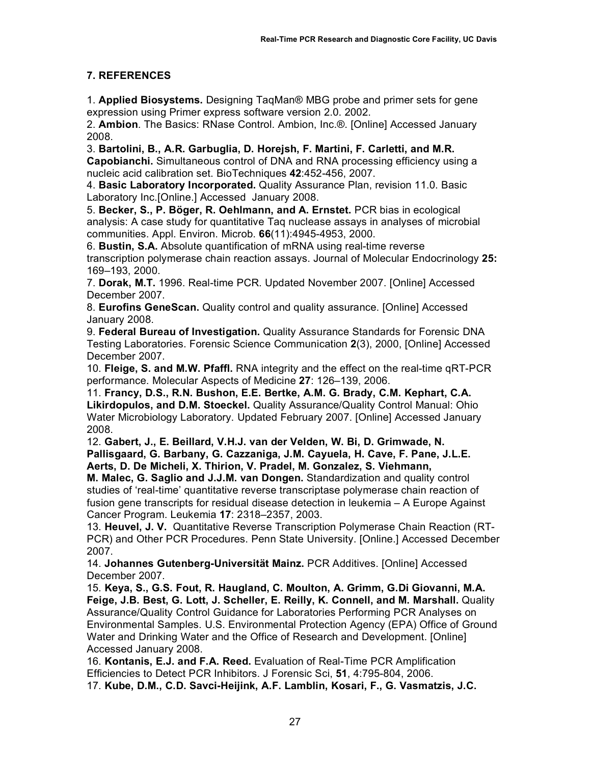# **7. REFERENCES**

1. **Applied Biosystems.** Designing TaqMan® MBG probe and primer sets for gene expression using Primer express software version 2.0. 2002.

2. **Ambion**. The Basics: RNase Control. Ambion, Inc.®. [Online] Accessed January 2008.

3. **Bartolini, B., A.R. Garbuglia, D. Horejsh, F. Martini, F. Carletti, and M.R. Capobianchi.** Simultaneous control of DNA and RNA processing efficiency using a nucleic acid calibration set. BioTechniques **42**:452-456, 2007.

4. **Basic Laboratory Incorporated.** Quality Assurance Plan, revision 11.0. Basic Laboratory Inc.[Online.] Accessed January 2008.

5. **Becker, S., P. Böger, R. Oehlmann, and A. Ernstet.** PCR bias in ecological analysis: A case study for quantitative Taq nuclease assays in analyses of microbial communities. Appl. Environ. Microb. **66**(11):4945-4953, 2000.

6. **Bustin, S.A.** Absolute quantification of mRNA using real-time reverse transcription polymerase chain reaction assays. Journal of Molecular Endocrinology **25:**  169–193, 2000.

7. **Dorak, M.T.** 1996. Real-time PCR. Updated November 2007. [Online] Accessed December 2007.

8. **Eurofins GeneScan.** Quality control and quality assurance. [Online] Accessed January 2008.

9. **Federal Bureau of Investigation.** Quality Assurance Standards for Forensic DNA Testing Laboratories. Forensic Science Communication **2**(3), 2000, [Online] Accessed December 2007.

10. **Fleige, S. and M.W. Pfaffl.** RNA integrity and the effect on the real-time qRT-PCR performance. Molecular Aspects of Medicine **27**: 126–139, 2006.

11. **Francy, D.S., R.N. Bushon, E.E. Bertke, A.M. G. Brady, C.M. Kephart, C.A. Likirdopulos, and D.M. Stoeckel.** Quality Assurance/Quality Control Manual: Ohio Water Microbiology Laboratory. Updated February 2007. [Online] Accessed January 2008.

12. **Gabert, J., E. Beillard, V.H.J. van der Velden, W. Bi, D. Grimwade, N. Pallisgaard, G. Barbany, G. Cazzaniga, J.M. Cayuela, H. Cave, F. Pane, J.L.E. Aerts, D. De Micheli, X. Thirion, V. Pradel, M. Gonzalez, S. Viehmann,**

**M. Malec, G. Saglio and J.J.M. van Dongen.** Standardization and quality control studies of 'real-time' quantitative reverse transcriptase polymerase chain reaction of fusion gene transcripts for residual disease detection in leukemia – A Europe Against Cancer Program. Leukemia **17**: 2318–2357, 2003.

13. **Heuvel, J. V.** Quantitative Reverse Transcription Polymerase Chain Reaction (RT-PCR) and Other PCR Procedures. Penn State University. [Online.] Accessed December 2007.

14. **Johannes Gutenberg-Universität Mainz.** PCR Additives. [Online] Accessed December 2007.

15. **Keya, S., G.S. Fout, R. Haugland, C. Moulton, A. Grimm, G.Di Giovanni, M.A. Feige, J.B. Best, G. Lott, J. Scheller, E. Reilly, K. Connell, and M. Marshall.** Quality Assurance/Quality Control Guidance for Laboratories Performing PCR Analyses on Environmental Samples. U.S. Environmental Protection Agency (EPA) Office of Ground Water and Drinking Water and the Office of Research and Development. [Online] Accessed January 2008.

16. **Kontanis, E.J. and F.A. Reed.** Evaluation of Real-Time PCR Amplification Efficiencies to Detect PCR Inhibitors. J Forensic Sci, **51**, 4:795-804, 2006. 17. **Kube, D.M., C.D. Savci-Heijink, A.F. Lamblin, Kosari, F., G. Vasmatzis, J.C.**